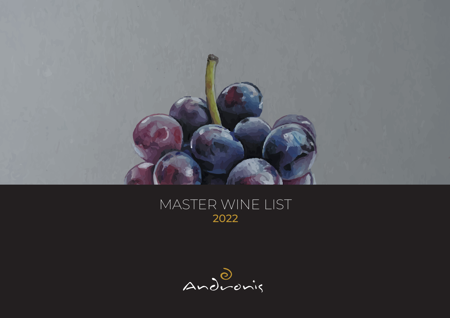

## MASTER WINE LIST 2022

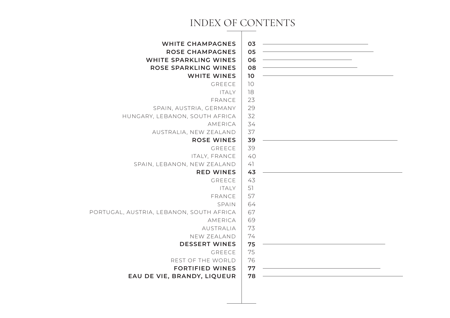### INDEX OF CONTENTS

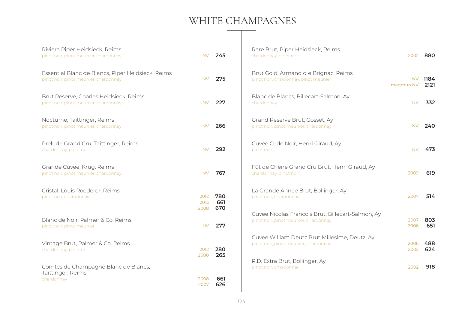### WHITE CHAMPAGNES

| Riviera Piper Heidsieck, Reims<br>pinot noir, pinot meunier, chardonnay                    | <b>NV</b>    | 245               | Rare Brut, Piper Heidsieck, Reims<br>chardonnay, pinot noir                                | 2002             | 880          |
|--------------------------------------------------------------------------------------------|--------------|-------------------|--------------------------------------------------------------------------------------------|------------------|--------------|
| Essential Blanc de Blancs, Piper Heidsieck, Reims<br>pinot noir, pinot meunier, chardonnay | <b>NV</b>    | 275               | Brut Gold, Armand d e Brignac, Reims<br>pinot noir, chardonnay, pinot meunier              | NV.<br>magmun NV | 1184<br>2121 |
| Brut Reserve, Charles Heidsieck, Reims<br>pinot noir, pinot meunier, chardonnay            | <b>NV</b>    | 227               | Blanc de Blancs, Billecart-Salmon, Ay<br>chardonnay                                        | <b>NV</b>        | 332          |
| Nocturne, Taittinger, Reims<br>pinot noir, pinot meunier, chardonnay                       | <b>NV</b>    | 266               | Grand Reserve Brut, Gosset, Ay<br>pinot noir, pinot meunier, chardonnay                    | <b>NV</b>        | 240          |
| Prelude Grand Cru, Taittinger, Reims<br>chardonnay, pinot noir                             | <b>NV</b>    | 292               | Cuvee Code Noir, Henri Giraud, Ay<br>pinot noir                                            | <b>NV</b>        | 473          |
| Grande Cuvee, Krug, Reims<br>pinot noir, pinot meunier, chardonnay                         | <b>NV</b>    | 767               | Fût de Chêne Grand Cru Brut, Henri Giraud, Ay<br>chardonnay, pinot noir                    | 2009             | 619          |
| Cristal, Louis Roederer, Reims<br>pinot noir, chardonnay<br>2008                           | 2012<br>2013 | 780<br>661<br>670 | La Grande Annee Brut, Bollinger, Ay<br>pinot noir, chardonnay                              | 2007             | 514          |
| Blanc de Noir, Palmer & Co, Reims<br>pinot noir, pinot meunier                             | <b>NV</b>    | 277               | Cuvee Nicolas Francois Brut, Billecart-Salmon, Ay<br>pinot noir, pinot meunier, chardonnay | 2007<br>2006     | 803<br>651   |
| Vintage Brut, Palmer & Co, Reims<br>chardonnay, pinot noir<br>2008                         | 2012         | 280<br>265        | Cuvee William Deutz Brut Millesime, Deutz, Ay<br>pinot noir, pinot meunier, chardonnay     | 2006<br>2002     | 488<br>624   |
| Comtes de Champagne Blanc de Blancs,<br>Taittinger, Reims<br>2008<br>chardonnay<br>2007    |              | 661<br>626        | R.D. Extra Brut, Bollinger, Ay<br>pinot noir, chardonnay                                   | 2002             | 918          |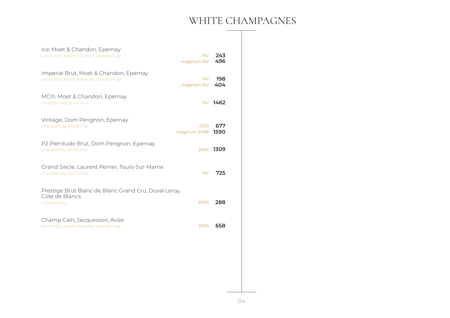### WHITE CHAMPAGNES

| Ice, Moet & Chandon, Epernay<br>pinot noir, pinot meunier, chardonnay                | <b>NV</b><br>magnum NV | 243<br>496  |
|--------------------------------------------------------------------------------------|------------------------|-------------|
| Imperial Brut, Moet & Chandon, Epernay<br>pinot noir, pinot meunier, chardonnay      | <b>NV</b><br>magnum NV | 198<br>404  |
| MCIII, Moet & Chandon, Epernay<br>chardonnay, pinot noir                             |                        | NV 1462     |
| Vintage, Dom Perignon, Epernay<br>chardonnay, pinot noir                             | 2010<br>magnum 2008    | 677<br>1590 |
| P2 Plenitude Brut, Dom Perignon, Epernay<br>chardonnay, pinot noir                   |                        | 2002 1309   |
| Grand Siecle, Laurent Perrier, Tours-Sur-Marne<br>chardonnay, pinot noir             | <b>NV</b>              | 725         |
| Prestige Brut Blanc de Blanc Grand Cru, Duval Leroy,<br>Cote de Blancs<br>chardonnay | 2006                   | 288         |
| Champ Caïn, Jacquesson, Avize<br>pinot noir, pinot meunier, chardonnay               | 2005                   | 658         |
|                                                                                      |                        |             |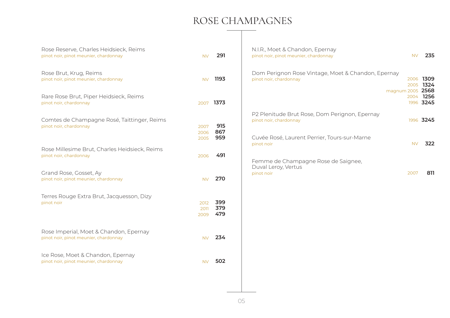### ROSE CHAMPAGNES

| Rose Reserve, Charles Heidsieck, Reims<br>pinot noir, pinot meunier, chardonnay | <b>NV</b>            | 291               | N.I.R., Moet & Chandon, Epernay<br>pinot noir, pinot meunier, chardonnay                          | <b>NV</b> | 235                       |
|---------------------------------------------------------------------------------|----------------------|-------------------|---------------------------------------------------------------------------------------------------|-----------|---------------------------|
| Rose Brut, Krug, Reims<br>pinot noir, pinot meunier, chardonnay                 | NV.                  | 1193              | Dom Perignon Rose Vintage, Moet & Chandon, Epernay<br>pinot noir, chardonnay                      | 2005      | 2006 1309<br>1324         |
| Rare Rose Brut, Piper Heidsieck, Reims<br>pinot noir, chardonnay                | 2007                 | 1373              | magnum 2005                                                                                       | 2004      | 2568<br>1256<br>1996 3245 |
| Comtes de Champagne Rosé, Taittinger, Reims<br>pinot noir, chardonnay           | 2007<br>2006         | 915<br>867        | P2 Plenitude Brut Rose, Dom Perignon, Epernay<br>pinot noir, chardonnay                           |           | 1996 3245                 |
| Rose Millesime Brut, Charles Heidsieck, Reims<br>pinot noir, chardonnay         | 2005<br>2006         | 959<br>491        | Cuvée Rosé, Laurent Perrier, Tours-sur-Marne<br>pinot noir<br>Femme de Champagne Rose de Saignee, | <b>NV</b> | 322                       |
| Grand Rose, Gosset, Ay<br>pinot noir, pinot meunier, chardonnay                 | <b>NV</b>            | 270               | Duval Leroy, Vertus<br>pinot noir                                                                 | 2007      | 811                       |
| Terres Rouge Extra Brut, Jacquesson, Dizy<br>pinot noir                         | 2012<br>2011<br>2009 | 399<br>379<br>479 |                                                                                                   |           |                           |
| Rose Imperial, Moet & Chandon, Epernay<br>pinot noir, pinot meunier, chardonnay | <b>NV</b>            | 234               |                                                                                                   |           |                           |
| Ice Rose, Moet & Chandon, Epernay<br>pinot noir, pinot meunier, chardonnay      | <b>NV</b>            | 502               |                                                                                                   |           |                           |
|                                                                                 |                      |                   |                                                                                                   |           |                           |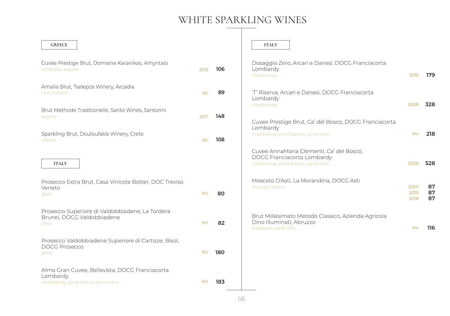### WHITE SPARKLING WINES

 $\overline{\phantom{a}}$ 

| <b>GREECE</b>                                                                                      |           |     | <b>ITALY</b>                                                                                                   |                      |                |
|----------------------------------------------------------------------------------------------------|-----------|-----|----------------------------------------------------------------------------------------------------------------|----------------------|----------------|
| Cuvee Prestige Brut, Domaine Karanikas, Amyntaio<br>xinomavro, assyriko                            | 2016      | 106 | Dosaggio Zero, Arcari e Danesi, DOCG Franciacorta<br>Lombardy<br>chardonnay                                    | 2016                 | 179            |
| Amalia Brut, Tselepos Winery, Arcadia<br>moschofilero                                              | <b>NV</b> | 89  | 'T' Riserva, Arcari e Danesi, DOCG Franciacorta<br>Lombardy<br>chardonnay                                      | 2008                 | 328            |
| Brut Methode Traditionelle, Santo Wines, Santorini<br>assyriko                                     | 2017      | 148 | Cuvee Prestige Brut, Ca' del Bosco, DOCG Franciacorta                                                          |                      |                |
| Sparkling Brut, Douloufakis Winery, Crete<br>vidiano                                               | <b>NV</b> | 108 | Lombardy<br>chardonnay, pinot bianco, pinot nero                                                               | <b>NV</b>            | 218            |
| <b>ITALY</b>                                                                                       |           |     | Cuvee AnnaMaria Clementi, Ca' del Bosco,<br>DOCG Franciacorta Lombardy<br>chardonnay, pinot bianco, pinot nero | 2008                 | 528            |
| Prosecco Extra Brut, Casa Vinicola Botter, DOC Treviso<br>Veneto<br>glera                          | <b>NV</b> | 80  | Moscato D'Asti, La Morandina, DOCG Asti<br>moscato bianco                                                      | 2020<br>2019<br>2018 | 87<br>87<br>87 |
| Prosecco Superiore di Valdobbiadene, La Tordera<br>Brunei, DOCG Valdobbiadene<br>glera             | <b>NV</b> | 82  | Brut Millesimato Metodo Classico, Azienda Agricola<br>Dino Illuminati, Abruzzo<br>trebbiano, verdicchio        | <b>NV</b>            | 116            |
| Prosecco Valdobbiadene Superiore di Cartizze, Bisol,<br><b>DOCG Prosecco</b><br>glera              | <b>NV</b> | 180 |                                                                                                                |                      |                |
| Alma Gran Cuvee, Bellavista, DOCG Franciacorta<br>Lombardy<br>chardonnay, pinot bianco, pinot nero | <b>NV</b> | 183 |                                                                                                                |                      |                |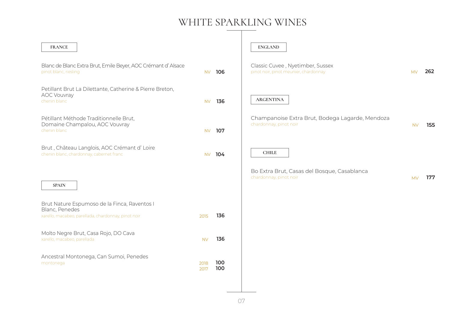### WHITE SPARKLING WINES

| <b>FRANCE</b>                                                                                                         |              |            | <b>ENGLAND</b>                                                            |           |     |
|-----------------------------------------------------------------------------------------------------------------------|--------------|------------|---------------------------------------------------------------------------|-----------|-----|
| Blanc de Blanc Extra Brut, Emile Beyer, AOC Crémant d'Alsace<br>pinot blanc, riesling                                 | <b>NV</b>    | 106        | Classic Cuvee, Nyetimber, Sussex<br>pinot noir, pinot meunier, chardonnay | <b>MV</b> | 262 |
| Petillant Brut La Dilettante, Catherine & Pierre Breton,<br><b>AOC Vouvray</b><br>chenin blanc                        | <b>NV</b>    | 136        | <b>ARGENTINA</b>                                                          |           |     |
| Pétillant Méthode Traditionnelle Brut,<br>Domaine Champalou, AOC Vouvray<br>chenin blanc                              | NV.          | 107        | Champanoise Extra Brut, Bodega Lagarde, Mendoza<br>chardonnay, pinot noir | <b>NV</b> | 155 |
| Brut, Château Langlois, AOC Crémant d' Loire<br>chenin blanc, chardonnay, cabernet franc                              | <b>NV</b>    | 104        | <b>CHILE</b>                                                              |           |     |
| <b>SPAIN</b>                                                                                                          |              |            | Bo Extra Brut, Casas del Bosque, Casablanca<br>chardonnay, pinot noir     | <b>MV</b> | 177 |
| Brut Nature Espumoso de la Finca, Raventos I<br>Blanc, Penedes<br>xarello, macabeo, parellada, chardonnay, pinot noir | 2015         | 136        |                                                                           |           |     |
| Molto Negre Brut, Casa Rojo, DO Cava<br>xarello, macabeo, parellada                                                   | <b>NV</b>    | 136        |                                                                           |           |     |
| Ancestral Montonega, Can Sumoi, Penedes<br>montonega                                                                  | 2018<br>2017 | 100<br>100 |                                                                           |           |     |
|                                                                                                                       |              |            |                                                                           |           |     |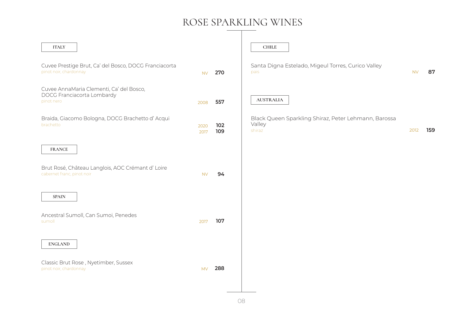### ROSE SPARKLING WINES

| <b>ITALY</b>                                                                         |              |            | <b>CHILE</b>                                                             |           |     |
|--------------------------------------------------------------------------------------|--------------|------------|--------------------------------------------------------------------------|-----------|-----|
| Cuvee Prestige Brut, Ca' del Bosco, DOCG Franciacorta<br>pinot noir, chardonnay      | <b>NV</b>    | 270        | Santa Digna Estelado, Migeul Torres, Curico Valley<br>pais               | <b>NV</b> | 87  |
| Cuvee AnnaMaria Clementi, Ca' del Bosco,<br>DOCG Franciacorta Lombardy<br>pinot nero | 2008         | 557        | <b>AUSTRALIA</b>                                                         |           |     |
| Braida, Giacomo Bologna, DOCG Brachetto d'Acqui<br>brachetto                         | 2020<br>2017 | 102<br>109 | Black Queen Sparkling Shiraz, Peter Lehmann, Barossa<br>Valley<br>shiraz | 2012      | 159 |
| <b>FRANCE</b>                                                                        |              |            |                                                                          |           |     |
| Brut Rosé, Château Langlois, AOC Crémant d' Loire<br>cabernet franc, pinot noir      | <b>NV</b>    | 94         |                                                                          |           |     |
| <b>SPAIN</b>                                                                         |              |            |                                                                          |           |     |
| Ancestral Sumoll, Can Sumoi, Penedes<br>sumoll                                       | 2017         | 107        |                                                                          |           |     |
| <b>ENGLAND</b>                                                                       |              |            |                                                                          |           |     |
| Classic Brut Rose, Nyetimber, Sussex<br>pinot noir, chardonnay                       | <b>MV</b>    | 288        |                                                                          |           |     |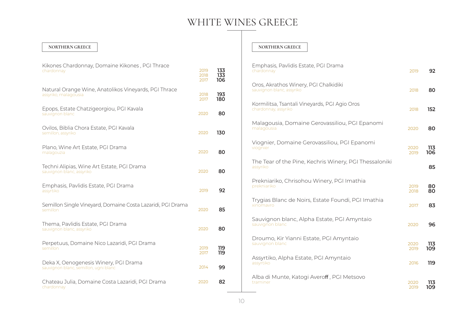#### **NORTHERN GREECE NORTHERN GREECE**

| Kikones Chardonnay, Domaine Kikones, PGI Thrace<br>chardonnay                  | 2019<br>2018<br>2017 | 133<br>133<br>106 |
|--------------------------------------------------------------------------------|----------------------|-------------------|
| Natural Orange Wine, Anatolikos Vineyards, PGI Thrace<br>assyriko, malagousia  | 2018<br>2017         | 193<br>180        |
| Epops, Estate Chatzigeorgiou, PGI Kavala<br>sauvignon blanc                    | 2020                 | 80                |
| Ovilos, Biblia Chora Estate, PGI Kavala<br>semillon, assyriko                  | 2020                 | 130               |
| Plano, Wine Art Estate, PGI Drama<br>malagouzia                                | 2020                 | 80                |
| Techni Alipias, Wine Art Estate, PGI Drama<br>sauvignon blanc, assyriko        | 2020                 | 80                |
| Emphasis, Pavlidis Estate, PGI Drama<br>assyrtiko                              | 2019                 | 92                |
| Semillon Single Vineyard, Domaine Costa Lazaridi, PGI Drama<br>semillon        | 2020                 | 85                |
| Thema, Pavlidis Estate, PGI Drama<br>sauvignon blanc, assyriko                 | 2020                 | 80                |
| Perpetuus, Domaine Nico Lazaridi, PGI Drama<br>semillon                        | 2019<br>2017         | 119<br>119        |
| Deka X, Oenogenesis Winery, PGI Drama<br>sauvignon blanc, semillon, ugni blanc | 2014                 | 99                |
| Chateau Julia, Domaine Costa Lazaridi, PGI Drama<br>chardonnay                 | 2020                 | 82                |

| Emphasis, Pavlidis Estate, PGI Drama<br>chardonnay                    | 2019         | 92         |
|-----------------------------------------------------------------------|--------------|------------|
| Oros, Akrathos Winery, PGI Chalkidiki<br>sauvignon blanc, assyriko    | 2018         | 80         |
| Kormilitsa, Tsantali Vineyards, PGI Agio Oros<br>chardonnay, assyriko | 2018         | 152        |
| Malagousia, Domaine Gerovassiliou, PGI Epanomi<br>malagousia          | 2020         | 80         |
| Viognier, Domaine Gerovassiliou, PGI Epanomi<br>viognier              | 2020<br>2019 | 113<br>106 |
| The Tear of the Pine, Kechris Winery, PGI Thessaloniki<br>assyriko    |              | 85         |
| Prekniariko, Chrisohou Winery, PGI Imathia<br>prekniariko             | 2019<br>2018 | 80<br>80   |
| Trygias Blanc de Noirs, Estate Foundi, PGI Imathia<br>xinomavro       | 2017         | 83         |
| Sauvignon blanc, Alpha Estate, PGI Amyntaio<br>sauvignon blanc        | 2020         | 96         |
| Droumo, Kir Yianni Estate, PGI Amyntaio<br>sauvignon blanc            | 2020<br>2019 | 113<br>109 |
| Assyrtiko, Alpha Estate, PGI Amyntaio<br>assyrtiko                    | 2016         | 119        |
| Alba di Munte, Katogi Averoff, PGI Metsovo<br>traminer                | 2020<br>2019 | 113<br>109 |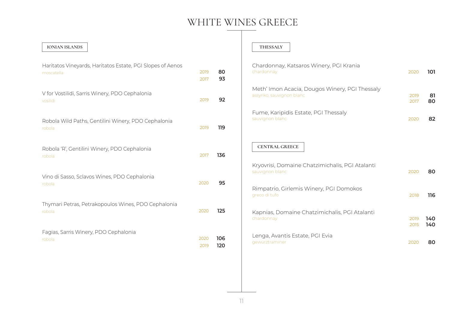| <b>IONIAN ISLANDS</b>                                                    |              |            |
|--------------------------------------------------------------------------|--------------|------------|
| Haritatos Vineyards, Haritatos Estate, PGI Slopes of Aenos<br>moscatella | 2019<br>2017 | 80<br>93   |
| V for Vostilidi, Sarris Winery, PDO Cephalonia<br>vosilidi               | 2019         | 92         |
| Robola Wild Paths, Gentilini Winery, PDO Cephalonia<br>robola            | 2019         | 119        |
| Robola 'R', Gentilini Winery, PDO Cephalonia<br>robola                   | 2017         | 136        |
| Vino di Sasso, Sclavos Wines, PDO Cephalonia<br>robola                   | 2020         | 95         |
| Thymari Petras, Petrakopoulos Wines, PDO Cephalonia<br>robola            | 2020         | 125        |
| Fagias, Sarris Winery, PDO Cephalonia<br>robola                          | 2020<br>2019 | 106<br>120 |

#### $THESSALY$

| Chardonnay, Katsaros Winery, PGI Krania<br>chardonnay                       | 2020         | 101        |
|-----------------------------------------------------------------------------|--------------|------------|
| Meth' Imon Acacia, Dougos Winery, PGI Thessaly<br>assyriko, sauvignon blanc | 2019<br>2017 | 81<br>80   |
| Fume, Karipidis Estate, PGI Thessaly<br>sauvignon blanc                     | 2020         | 82         |
| <b>CENTRAL GREECE</b>                                                       |              |            |
| Kryovrisi, Domaine Chatzimichalis, PGI Atalanti<br>sauvignon blanc          | 2020         | 80         |
| Rimpatrio, Girlemis Winery, PGI Domokos<br>greco di tufo                    | 2018         | 116        |
| Kapnias, Domaine Chatzimichalis, PGI Atalanti<br>chardonnay                 | 2019<br>2015 | 140<br>140 |
| Lenga, Avantis Estate, PGI Evia<br>gewürztraminer                           | 2020         | 80         |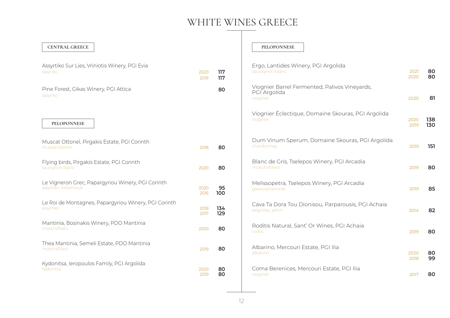| <b>CENTRAL GREECE</b>                                                     |              |            | <b>PELOPONNESE</b>                                                        |              |            |
|---------------------------------------------------------------------------|--------------|------------|---------------------------------------------------------------------------|--------------|------------|
| Assyrtiko Sur Lies, Vriniotis Winery, PGI Evia<br>assyriko                | 2020<br>2019 | 117<br>117 | Ergo, Lantides Winery, PGI Argolida<br>sauvignon blanc                    | 2021<br>2020 | 80<br>80   |
| Pine Forest, Gikas Winery, PGI Attica<br>assyriko                         |              | 80         | Viognier Barrel Fermented, Palivos Vineyards,<br>PGI Argolida<br>viognier | 2020         | 81         |
| PELOPONNESE                                                               |              |            | Viognier Éclectique, Domaine Skouras, PGI Argolida<br>viognier            | 2020<br>2019 | 138<br>130 |
| Muscat Ottonel, Pirgakis Estate, PGI Corinth<br>muscat ottonel            | 2018         | 80         | Dum Vinum Sperum, Domaine Skouras, PGI Argolida<br>chardonnay             | 2019         | 151        |
| Flying birds, Pirgakis Estate, PGI Corinth<br>sauvignon blanc             | 2020         | 80         | Blanc de Gris, Tselepos Winery, PGI Arcadia<br>moschofilero               | 2019         | 80         |
| Le Vigneron Grec, Papargyriou Winery, PGI Corinth<br>assyrtiko, moschoudi | 2020<br>2016 | 95<br>100  | Melissopetra, Tselepos Winery, PGI Arcadia<br>gewürztraminer              | 2019         | 85         |
| Le Roi de Montagnes, Papargyriou Winery, PGI Corinth<br>assyrtiko         | 2018<br>2017 | 134<br>129 | Cava Ta Dora Tou Dionisou, Parparousis, PGI Achaia<br>assyrtiko, athiri   | 2014         | 82         |
| Mantinia, Bosinakis Winery, PDO Mantinia<br>moschofilero                  | 2020         | 80         | Roditis Natural, Sant' Or Wines, PGI Achaia<br>rodiis                     | 2019         | 80         |
| Thea Mantinia, Semeli Estate, PDO Mantinia<br>moschofilero                | 2019         | 80         | Albarino, Mercouri Estate, PGI Ilia<br>albarino                           | 2020<br>2018 | 80<br>99   |
| Kydonitsa, Ieropoulos Family, PGI Argolida<br>kydonitsa                   | 2020<br>2019 | 80<br>80   | Coma Berenices, Mercouri Estate, PGI Ilia<br>viognier                     | 2017         | 80         |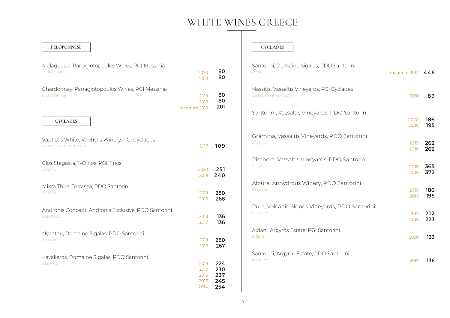| PELOPONNESE                                                              |                                      |                                 | <b>CYCLADES</b>                                                          |              |            |
|--------------------------------------------------------------------------|--------------------------------------|---------------------------------|--------------------------------------------------------------------------|--------------|------------|
| Malagousia, Panagiotopoulos Wines, PGI Messinia<br>malagousia            | 2020<br>2019                         | 80<br>80                        | Santorini, Domaine Sigalas, PDO Santorini<br>assyriko                    | magnum 2014  | 446        |
| Chardonnay, Panagiotopoulos Wines, PGI Messinia<br>chardonnay            | 2019<br>2018<br>magnum 2018          | 80<br>80<br>201                 | Nassitis, Vassaltis Vineyards, PGI Cyclades<br>assyrtiko, athiri, aidani | 2020         | 89         |
| <b>CYCLADES</b>                                                          |                                      |                                 | Santorini, Vassaltis Vineyards, PDO Santorini<br>assyriko                | 2020<br>2016 | 186<br>195 |
| Vaptistis White, Vaptistis Winery, PGI Cyclades<br>assyrtiko, monemvasia | 2017                                 | 109                             | Gramina, Vassaltis Vineyards, PDO Santorini<br>assyriko                  | 2019<br>2018 | 262<br>262 |
| Clos Stegasta, T-Oinos, PGI Tinos<br>assyriko                            | 2020<br>2019                         | 251<br>240                      | Plethora, Vassaltis Vineyards, PDO Santorini<br>assyriko                 | 2018<br>2016 | 365<br>372 |
| Mikra Thira, Terrasea, PDO Santorini<br>assyriko                         | 2019<br>2018                         | 280<br>268                      | Afoura, Anhydrous Winery, PDO Santorini<br>assyriko                      | 2019<br>2015 | 186<br>195 |
| Andronis Concept, Andronis Exclusive, PDO Santorini<br>assyrtiko         | 2018<br>2017                         | 136<br>136                      | Pure, Volcanic Slopes Vineyards, PDO Santorini<br>assyriko               | 2017<br>2016 | 212<br>223 |
| Nychteri, Domaine Sigalas, PDO Santorini<br>assyriko                     | 2019<br>2016                         | 280<br>267                      | Aidani, Argyros Estate, PGI Santorini<br>aidani                          | 2020         | 133        |
| Kavalieros, Domaine Sigalas, PDO Santorini<br>assyriko                   | 2019<br>2017<br>2016<br>2015<br>2014 | 224<br>230<br>237<br>245<br>254 | Santorini, Argyros Estate, PDO Santorini<br>assyriko                     | 2019         | 136        |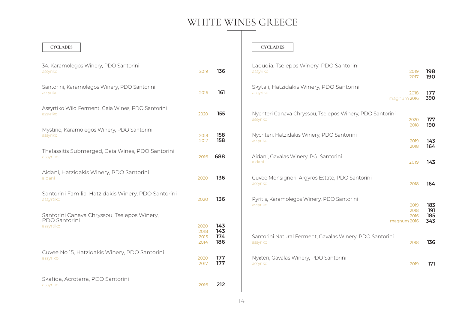| 34, Karamolegos Winery, PDO Santorini<br>assyriko                | 2019                         | 136                      |
|------------------------------------------------------------------|------------------------------|--------------------------|
| Santorini, Karamolegos Winery, PDO Santorini<br>assyriko         | 2016                         | 161                      |
| Assyrtiko Wild Ferment, Gaia Wines, PDO Santorini<br>assyriko    | 2020                         | 155                      |
| Mystirio, Karamolegos Winery, PDO Santorini<br>assyriko          | 2018<br>2017                 | 158<br>158               |
| Thalassitis Submerged, Gaia Wines, PDO Santorini<br>assyriko     | 2016                         | 688                      |
| Aidani, Hatzidakis Winery, PDO Santorini<br>aidani               | 2020                         | 136                      |
| Santorini Familia, Hatzidakis Winery, PDO Santorini<br>assyrtiko | 2020                         | 136                      |
| Santorini Canava Chryssou, Tselepos Winery,                      |                              |                          |
| <b>PDO Santorini</b><br>assyrtiko                                | 2020<br>2018<br>2015<br>2014 | 143<br>143<br>174<br>186 |
| Cuvee No 15, Hatzidakis Winery, PDO Santorini<br>assyriko        | 2020<br>2017                 | 177<br>177               |
| Skafida, Acroterra, PDO Santorini<br>assyriko                    | 2016                         | 212                      |

#### **CYCLADES CYCLADES**

| Laoudia, Tselepos Winery, PDO Santorini<br>assyriko                  | 2019<br>2017                        | 198<br>190               |
|----------------------------------------------------------------------|-------------------------------------|--------------------------|
| Skytali, Hatzidakis Winery, PDO Santorini<br>assyriko                | 2018<br>magnum 2016                 | 177<br>390               |
| Nychteri Canava Chryssou, Tselepos Winery, PDO Santorini<br>assyriko | 2020<br>2018                        | 177<br>190               |
| Nychteri, Hatzidakis Winery, PDO Santorini<br>assyriko               | 2019<br>2018                        | 143<br>164               |
| Aidani, Gavalas Winery, PGI Santorini<br>aidani                      | 2019                                | 143                      |
| Cuvee Monsignori, Argyros Estate, PDO Santorini<br>assyriko          | 2018                                | 164                      |
| Pyritis, Karamolegos Winery, PDO Santorini<br>assyriko               | 2019<br>2018<br>2016<br>magnum 2016 | 183<br>191<br>185<br>343 |
| Santorini Natural Ferment, Gavalas Winery, PDO Santorini<br>assyriko | 2018                                | 136                      |
| Nykteri, Gavalas Winery, PDO Santorini<br>assyriko                   | 2019                                | 171                      |
|                                                                      |                                     |                          |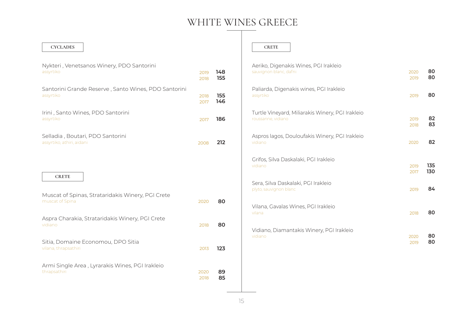| <b>CYCLADES</b>                                                      |              |            | <b>CRETE</b>                                         |
|----------------------------------------------------------------------|--------------|------------|------------------------------------------------------|
| Nykteri, Venetsanos Winery, PDO Santorini<br>assyrtiko               | 2019<br>2018 | 148<br>155 | Aeriko, Digenakis Wines,<br>sauvignon blanc, dafni   |
| Santorini Grande Reserve, Santo Wines, PDO Santorini<br>assyrtiko    | 2018<br>2017 | 155<br>146 | Paliarda, Digenakis wine<br>assyrtiko                |
| Irini, Santo Wines, PDO Santorini<br>assyrtiko                       | 2017         | 186        | Turtle Vineyard, Miliaraki<br>roussanne, vidiano     |
| Selladia, Boutari, PDO Santorini<br>assyrtiko, athiri, aidani        | 2008         | 212        | Aspros lagos, Douloufaki<br>vidiano                  |
|                                                                      |              |            | Grifos, Silva Daskalaki, PO<br>vidiano               |
| <b>CRETE</b>                                                         |              |            | Sera, Silva Daskalaki, PGI<br>plyto, sauvignon blanc |
| Muscat of Spinas, Strataridakis Winery, PGI Crete<br>muscat of Spina | 2020         | 80         | Vilana, Gavalas Wines, PO<br>vilana                  |
| Aspra Charakia, Strataridakis Winery, PGI Crete<br>vidiano           | 2018         | 80         | Vidiano, Diamantakis Wi                              |
| Sitia, Domaine Economou, DPO Sitia<br>vilana, thrapsathiri           | 2013         | 123        | vidiano                                              |
| Armi Single Area, Lyrarakis Wines, PGI Irakleio<br>thrapsathiri      | 2020<br>2018 | 89<br>85   |                                                      |

| Aeriko, Digenakis Wines, PGI Irakleio                         | 2020 | 80  |
|---------------------------------------------------------------|------|-----|
| sauvignon blanc, dafni                                        | 2019 | 80  |
| Paliarda, Digenakis wines, PGI Irakleio<br>assyrtiko          | 2019 | 80  |
| Turtle Vineyard, Miliarakis Winery, PGI Irakleio              | 2019 | 82  |
| roussanne, vidiano                                            | 2018 | 83  |
| Aspros lagos, Douloufakis Winery, PGI Irakleio<br>vidiano     | 2020 | 82  |
| Grifos, Silva Daskalaki, PGI Irakleio                         | 2019 | 135 |
| vidiano                                                       | 2017 | 130 |
| Sera, Silva Daskalaki, PGI Irakleio<br>plyto, sauvignon blanc | 2019 | 84  |
| Vilana, Gavalas Wines, PGI Irakleio<br>vilana                 | 2018 | 80  |
| Vidiano, Diamantakis Winery, PGI Irakleio                     | 2020 | 80  |
| vidiano                                                       | 2019 | 80  |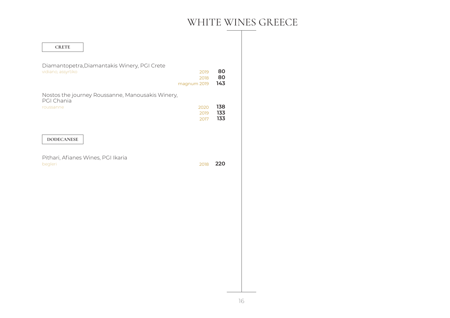| <b>CRETE</b>                                                       |              |            |
|--------------------------------------------------------------------|--------------|------------|
|                                                                    |              |            |
| Diamantopetra, Diamantakis Winery, PGI Crete<br>vidiano, assyrtiko | 2019         | 80         |
|                                                                    | 2018         | 80         |
|                                                                    | magnum 2019  | 143        |
| Nostos the journey Roussanne, Manousakis Winery,<br>PGI Chania     |              |            |
| roussanne                                                          | 2020         | 138        |
|                                                                    | 2019<br>2017 | 133<br>133 |
|                                                                    |              |            |
| <b>DODECANESE</b>                                                  |              |            |
|                                                                    |              |            |
| Pithari, Afianes Wines, PGI Ikaria                                 |              |            |
| begleri                                                            | 2018         | 220        |
|                                                                    |              |            |
|                                                                    |              |            |
|                                                                    |              |            |
|                                                                    |              |            |
|                                                                    |              |            |
|                                                                    |              |            |
|                                                                    |              |            |
|                                                                    |              |            |
|                                                                    |              |            |
|                                                                    |              |            |
|                                                                    |              |            |
|                                                                    |              |            |
|                                                                    |              |            |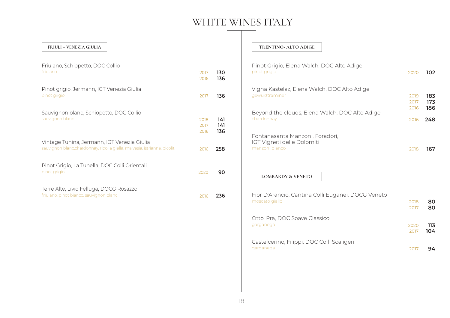#### **FRIULI – VENEZIA GIULIA**

| Friulano, Schiopetto, DOC Collio<br>friulano                                                                             | 2017<br>2016         | 130<br>136        |
|--------------------------------------------------------------------------------------------------------------------------|----------------------|-------------------|
| Pinot grigio, Jermann, IGT Venezia Giulia<br>pinot grigio                                                                | 2017                 | 136               |
| Sauvignon blanc, Schiopetto, DOC Collio<br>sauvignon blanc                                                               | 2018<br>2017<br>2016 | 141<br>141<br>136 |
| Vintage Tunina, Jermann, IGT Venezia Giulia<br>sauvignon blanc, chardonnay, ribolla gialla, malvasia, istrianna, picolit | 2016                 | 258               |
| Pinot Grigio, La Tunella, DOC Colli Orientali<br>pinot grigio                                                            | 2020                 | 90                |
| Terre Alte, Livio Felluga, DOCG Rosazzo<br>friulano, pinot bianco, sauvignon blanc                                       | 2016                 | 236               |

#### **TRENTINO- ALTO ADIGE**

| Pinot Grigio, Elena Walch, DOC Alto Adige<br>pinot grigio                       | 2020                 | 102               |
|---------------------------------------------------------------------------------|----------------------|-------------------|
| Vigna Kastelaz, Elena Walch, DOC Alto Adige<br>gewurztraminer                   | 2019<br>2017<br>2016 | 183<br>173<br>186 |
| Beyond the clouds, Elena Walch, DOC Alto Adige<br>chardonnay                    | 2016                 | 248               |
| Fontanasanta Manzoni, Foradori,<br>IGT Vigneti delle Dolomiti<br>manzoni bianco | 2018                 | 167               |
| <b>LOMBARDY &amp; VENETO</b>                                                    |                      |                   |
| Fior D'Arancio, Cantina Colli Euganei, DOCG Veneto<br>moscato giallo            | 2018<br>2017         | 80<br>80          |
| Otto, Pra, DOC Soave Classico<br>garganega                                      | 2020<br>2017         | 113<br>104        |
| Castelcerino, Filippi, DOC Colli Scaligeri<br>garganega                         | 2017                 | 94                |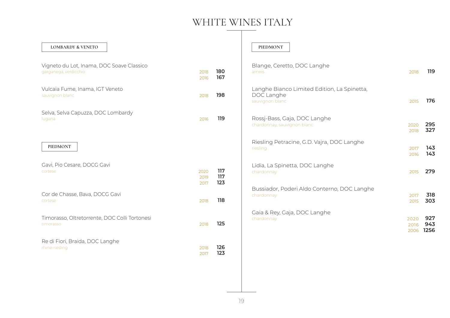#### **LOMBARDY & VENETO**

| Vigneto du Lot, Inama, DOC Soave Classico<br>garganega, verdicchio | 2018<br>2016         | 180<br>167        |
|--------------------------------------------------------------------|----------------------|-------------------|
| Vulcaia Fume, Inama, IGT Veneto<br>sauvignon blanc                 | 2018                 | 198               |
| Selva, Selva Capuzza, DOC Lombardy<br>lugana                       | 2016                 | 119               |
| <b>PIEDMONT</b>                                                    |                      |                   |
| Gavi, Pio Cesare, DOCG Gavi<br>cortese                             | 2020<br>2019<br>2017 | 117<br>117<br>123 |
| Cor de Chasse, Bava, DOCG Gavi<br>cortese                          | 2018                 | 118               |
| Timorasso, Oltretorrente, DOC Colli Tortonesi<br>timorasso         | 2018                 | 125               |
|                                                                    |                      |                   |

#### **PIEDMONT**

| Blange, Ceretto, DOC Langhe<br>arneis                                        | 2018                 | 119                |
|------------------------------------------------------------------------------|----------------------|--------------------|
| Langhe Bianco Limited Edition, La Spinetta,<br>DOC Langhe<br>sauvignon blanc | 2015                 | 176                |
| Rossj-Bass, Gaja, DOC Langhe<br>chardonnay, sauvignon blanc                  | 2020<br>2018         | 295<br>327         |
| Riesling Petracine, G.D. Vajra, DOC Langhe<br>riesling                       | 2017<br>2016         | 143<br>143         |
| Lidia, La Spinetta, DOC Langhe<br>chardonnay                                 | 2015                 | 279                |
| Bussiador, Poderi Aldo Conterno, DOC Langhe<br>chardonnay                    | 2017<br>2015         | 318<br>303         |
| Gaia & Rey, Gaja, DOC Langhe<br>chardonnay                                   | 2020<br>2016<br>2006 | 927<br>943<br>1256 |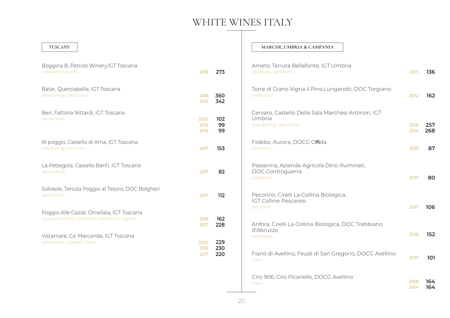| TUSCANY                                                                                       |                      |                   | MARCHE, UMBRIA & CAMPANIA                                                              |              |            |
|-----------------------------------------------------------------------------------------------|----------------------|-------------------|----------------------------------------------------------------------------------------|--------------|------------|
| Boggina B, Petrolo Winery, IGT Toscana<br>trebbiano toscano                                   | 2018                 | 273               | Arneto, Tenuta Bellafonte, IGT Umbria<br>trebbiano spoletino                           | 2015         | 136        |
| Batar, Querciabella, IGT Toscana<br>chardonnay, pinot blanc                                   | 2018<br>2015         | 360<br>342        | Torre di Giano Vigna il Pino, Lungarotti, DOC Torgiano<br>trebbiano                    | 2012         | 162        |
| Ben, Fattoria Nittardi, IGT Toscana<br>vermentino                                             | 2020<br>2019<br>2018 | 102<br>99<br>99   | Cervaro, Castello Della Sala Marchesi Antinori, IGT<br>Umbria<br>chardonnay, grechetto | 2016<br>2014 | 257<br>268 |
| Al poggio, Castello di Ama, IGT Toscana<br>chardonnay, pinot gris                             | 2017                 | 153               | Fiobbo, Aurora, DOCG Offida<br>pecorino                                                | 2015         | 87         |
| La Pettegola, Castello Banfi, IGT Toscana<br>vermentino                                       | 2017                 | 82                | Passerina, Azienda Agricola Dino illuminati,<br>DOC Controguerra<br>passerina          | 2017         | 80         |
| Solosole, Tenuta Poggio al Tesoro, DOC Bolgheri<br>vermentino                                 | 2017                 | 112               | Pecorino, Cirelli La Collina Biologica,<br><b>IGT Colline Pescaresi</b><br>pecorino    | 2017         | 106        |
| Poggio Alle Gazze, Ornellaia, IGT Toscana<br>sauvignon blanc, vermenino, verdicchio, viognier | 2019<br>2017         | 162<br>228        | Anfora, Cirelli La Collina Biologica, DOC Trebbiano<br>d'Abruzzo                       |              |            |
| Vistamare, Ca' Marcanda, IGT Toscana<br>vermentino, viognier, fiano                           | 2020<br>2018<br>2017 | 229<br>230<br>220 | trebbiano<br>Fiano di Avellino, Feudi di San Gregorio, DOCG Avellino                   | 2016<br>2017 | 152<br>101 |
|                                                                                               |                      |                   | fiano<br>Ciro 906, Ciro Picariello, DOCG Avellino<br>fiano                             | 2018<br>2014 | 164<br>164 |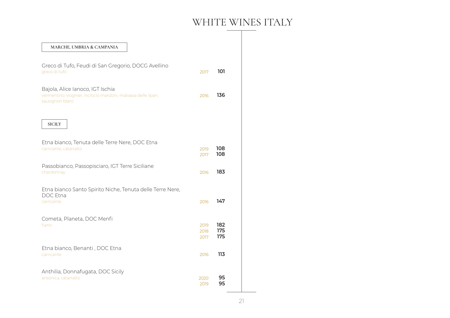| MARCHE, UMBRIA & CAMPANIA                                                                                             |                      |                   |
|-----------------------------------------------------------------------------------------------------------------------|----------------------|-------------------|
| Greco di Tufo, Feudi di San Gregorio, DOCG Avellino<br>greco di tufo                                                  | 2017                 | 101               |
| Bajola, Alice Ianoco, IGT Ischia<br>vermentino, viognier, incrocio manzoni, malvasia delle lipari,<br>sauvignon blanc | 2016                 | 136               |
| <b>SICILY</b>                                                                                                         |                      |                   |
| Etna bianco, Tenuta delle Terre Nere, DOC Etna<br>carricante, catarratto                                              | 2019<br>2017         | 108<br>108        |
| Passobianco, Passopisciaro, IGT Terre Siciliane<br>chardonnay                                                         | 2016                 | 183               |
| Etna bianco Santo Spirito Niche, Tenuta delle Terre Nere,<br>DOC Etna<br>carricante                                   | 2016                 | 147               |
| Cometa, Planeta, DOC Menfi<br>fiano                                                                                   | 2019<br>2018<br>2017 | 182<br>175<br>175 |
| Etna bianco, Benanti, DOC Etna<br>carricante                                                                          | 2016                 | 113               |
| Anthilia, Donnafugata, DOC Sicily<br>ansonica, catarratto                                                             | 2020<br>2019         | 95<br>95          |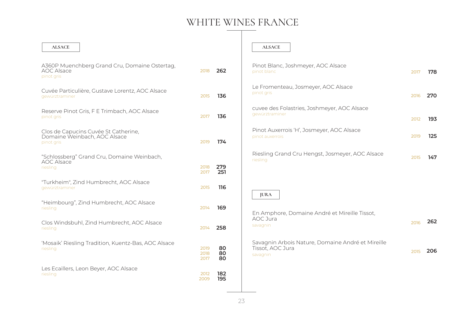## WHITE WINES FRANCE

| <b>ALSACE</b>                                                                      |                      |                | <b>ALSACE</b>                                                                     |      |     |
|------------------------------------------------------------------------------------|----------------------|----------------|-----------------------------------------------------------------------------------|------|-----|
| A360P Muenchberg Grand Cru, Domaine Ostertag,<br><b>AOC Alsace</b><br>pinot gris   | 2018                 | 262            | Pinot Blanc, Joshmeyer, AOC Alsace<br>pinot blanc                                 | 2017 | 178 |
| Cuvée Particulière, Gustave Lorentz, AOC Alsace<br>gewürztraminer                  | 2015                 | 136            | Le Fromenteau, Josmeyer, AOC Alsace<br>pinot gris                                 | 2016 | 270 |
| Reserve Pinot Gris, F E Trimbach, AOC Alsace<br>pinot gris                         | 2017                 | 136            | cuvee des Folastries, Joshmeyer, AOC Alsace<br>gewürztraminer                     | 2012 | 193 |
| Clos de Capucins Cuvée St Catherine,<br>Domaine Weinbach, AOC Alsace<br>pinot gris | 2019                 | 174            | Pinot Auxerrois 'H', Josmeyer, AOC Alsace<br>pinot auxerrois                      | 2019 | 125 |
| "Schlossberg" Grand Cru, Domaine Weinbach,<br>AOC Alsace<br>riesling               | 2018<br>2017         | 279<br>251     | Riesling Grand Cru Hengst, Josmeyer, AOC Alsace<br>riesling                       | 2015 | 147 |
| "Turkheim", Zind Humbrecht, AOC Alsace<br>gewürztraminer                           | 2015                 | 116            | <b>JURA</b>                                                                       |      |     |
| "Heimbourg", Zind Humbrecht, AOC Alsace<br>riesling                                | 2014                 | 169            | En Amphore, Domaine André et Mireille Tissot,                                     |      |     |
| Clos Windsbuhl, Zind Humbrecht, AOC Alsace<br>riesling                             | 2014                 | 258            | AOC Jura<br>savagnin                                                              | 2016 | 262 |
| 'Mosaik' Riesling Tradition, Kuentz-Bas, AOC Alsace<br>riesling                    | 2019<br>2018<br>2017 | 80<br>80<br>80 | Savagnin Arbois Nature, Domaine André et Mireille<br>Tissot, AOC Jura<br>savagnin | 2015 | 206 |
| Les Ecaillers, Leon Beyer, AOC Alsace<br>riesling                                  | 2012<br>2009         | 182<br>195     |                                                                                   |      |     |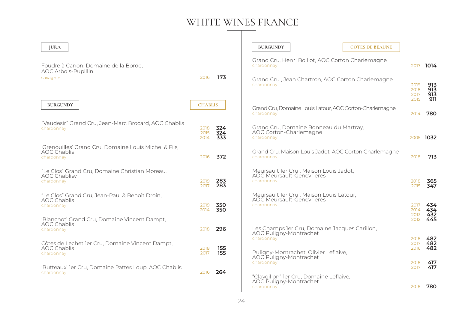## WHITE WINES FRANCE

| <b>JURA</b>                                                                               |                      |                   | <b>BURGUNDY</b>                                                                           | <b>COTES DE BEAUNE</b> |                      |                          |
|-------------------------------------------------------------------------------------------|----------------------|-------------------|-------------------------------------------------------------------------------------------|------------------------|----------------------|--------------------------|
| Foudre à Canon, Domaine de la Borde,<br><b>AOC Arbois-Pupillin</b><br>savagnin            |                      |                   | Grand Cru, Henri Boillot, AOC Corton Charlemagne<br>chardonnav                            |                        | 2017                 | 1014                     |
|                                                                                           | 2016                 | 173               | Grand Cru, Jean Chartron, AOC Corton Charlemagne<br>chardonnay                            |                        | 2019<br>2018<br>2017 | 913<br>913<br>913<br>911 |
| <b>BURGUNDY</b>                                                                           | <b>CHABLIS</b>       |                   | Grand Cru, Domaine Louis Latour, AOC Corton-Charlemagne<br>chardonnay                     |                        | 2015<br>2014         | 780                      |
| "Vaudesir" Grand Cru, Jean-Marc Brocard, AOC Chablis<br>chardonnay                        | 2018<br>2015<br>2014 | 324<br>324<br>333 | Grand Cru, Domaine Bonneau du Martray,<br>AOC Corton-Charlemagne<br>chardonnay            |                        |                      | 2005 1032                |
| 'Grenouilles' Grand Cru, Domaine Louis Michel & Fils,<br><b>AOC Chablis</b><br>chardonnay | 2016                 | 372               | Grand Cru, Maison Louis Jadot, AOC Corton Charlemagne<br>chardonnay                       |                        | 2018                 | 713                      |
| "Le Clos" Grand Cru, Domaine Christian Moreau,<br><b>AOC Chablisv</b><br>chardonnay       | 2019<br>2017         | 283<br>283        | Meursault ler Cru, Maison Louis Jadot,<br><b>AOC Meursault-Génevrieres</b><br>chardonnay  |                        | 2018<br>2015         | 365<br>347               |
| "Le Clos" Grand Cru, Jean-Paul & Benoît Droin,<br><b>AOC Chablis</b><br>chardonnay        | 2019<br>2014         | 350<br>350        | Meursault 1er Cru, Maison Louis Latour,<br><b>AOC Meursault-Génevrieres</b><br>chardonnay |                        | 2017<br>2014<br>2013 | 434<br>434<br>432        |
| 'Blanchot' Grand Cru, Domaine Vincent Dampt,<br><b>AOC Chablis</b><br>chardonnay          | 2018                 | 296               | Les Champs ler Cru, Domaine Jacques Carillon,<br>AOC Puligny-Montrachet<br>chardonnay     |                        | 2012<br>2018         | 445<br>482               |
| Côtes de Lechet 1er Cru, Domaine Vincent Dampt,<br><b>AOC Chablis</b><br>chardonnay       | 2018<br>2017         | 155<br>155        | Puligny-Montrachet, Olivier Leflaive,<br>AOC Puligny-Montrachet<br>chardonnay             |                        | 2017<br>2016<br>2018 | 482<br>482<br>417        |
| 'Butteaux' ler Cru, Domaine Pattes Loup, AOC Chablis<br>chardonnay                        | 2016                 | 264               | "Clavoillon" ler Cru, Domaine Leflaive,<br>AOC Puligny-Montrachet                         |                        | 2017                 | 417                      |
|                                                                                           |                      |                   | chardonnay                                                                                |                        | 2018                 | 780                      |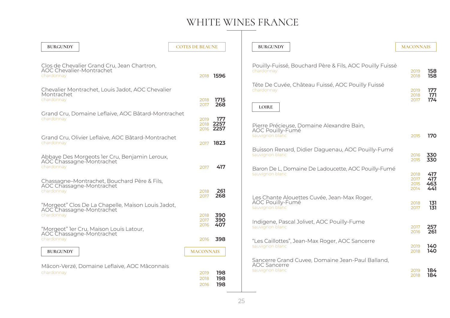### WHITE WINES FRANCE  $\mathbf{I}$

| <b>BURGUNDY</b>                                                                              | <b>COTES DE BEAUNE</b> |                          | <b>BURGUNDY</b>                                                                                                 | <b>MACONNAIS</b>     |                   |
|----------------------------------------------------------------------------------------------|------------------------|--------------------------|-----------------------------------------------------------------------------------------------------------------|----------------------|-------------------|
| Clos de Chevalier Grand Cru, Jean Chartron,<br>AOC Chevalier-Montrachet<br>chardonnay        | 2018                   | 1596                     | Pouilly-Fuissé, Bouchard Père & Fils, AOC Pouilly Fuissé<br>chardonnay                                          | 2019<br>2018         | 158<br>158        |
| Chevalier Montrachet, Louis Jadot, AOC Chevalier<br>Montrachet<br>chardonnay                 | 2018<br>2017           | 1715<br>268              | Tête De Cuvée, Château Fuissé, AOC Pouilly Fuissé<br>chardonnay<br><b>LOIRE</b>                                 | 2019<br>2018<br>2017 | 177<br>171<br>174 |
| Grand Cru, Domaine Leflaive, AOC Bâtard-Montrachet<br>chardonnay                             | 2019<br>2018           | 177<br>2257<br>2016 2257 | Pierre Précieuse, Domaine Alexandre Bain,<br><b>AOC Pouilly-Fumé</b>                                            |                      |                   |
| Grand Cru, Olivier Leflaive, AOC Bâtard-Montrachet<br>chardonnay                             | 2017                   | 1823                     | sauvignon blanc<br>Buisson Renard, Didier Daguenau, AOC Pouilly-Fumé                                            | 2015                 | 170               |
| Abbaye Des Morgeots ler Cru, Benjamin Leroux,<br>AOC Chassagne-Montrachet<br>chardonnay      | 2017                   | 417                      | sauvignon blanc<br>Baron De L, Domaine De Ladoucette, AOC Pouilly-Fumé<br>sauvignon blanc                       | 2016<br>2015<br>2018 | 330<br>330<br>417 |
| Chassagne-Montrachet, Bouchard Père & Fils,<br>AOC Chassagne-Montrachet<br>chardonnay        | 2018<br>2017           | 261<br>268               | Les Chante Alouettes Cuvée, Jean-Max Roger,                                                                     | 2017<br>2015<br>2014 | 417<br>463<br>441 |
| "Morgeot" Clos De La Chapelle, Maison Louis Jadot,<br>AOC Chassagne-Montrachet<br>chardonnay | 2018<br>2017           | 390<br>390               | AOC Pouilly-Fumé<br>sauvignon blanc                                                                             | 2018<br>2017         | 131<br>131        |
| "Morgeot" ler Cru, Maison Louis Latour,<br>AOC Chassagne-Montrachet<br>chardonnay            | 2016<br>2016           | 407<br>398               | Indigene, Pascal Jolivet, AOC Pouilly-Fume<br>sauvignon blanc<br>"Les Caillottes", Jean-Max Roger, AOC Sancerre | 2017<br>2016         | 257<br>261        |
| <b>BURGUNDY</b>                                                                              | <b>MACONNAIS</b>       |                          | sauvignon blanc<br>Sancerre Grand Cuvee, Domaine Jean-Paul Balland,                                             | 2019<br>2018         | 140<br>140        |
| Mâcon-Verzé, Domaine Leflaive, AOC Mâconnais<br>chardonnay                                   | 2019<br>2018<br>2016   | 198<br>198<br>198        | <b>AOC</b> Sancerre<br>sauvignon blanc                                                                          | 2019<br>2018         | 184<br>184        |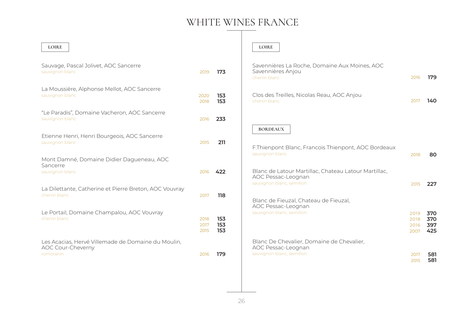## WHITE WINES FRANCE

| <b>LOIRE</b>                                                                         |                      |                   | <b>LOIRE</b>                                                                                  |                              |                          |
|--------------------------------------------------------------------------------------|----------------------|-------------------|-----------------------------------------------------------------------------------------------|------------------------------|--------------------------|
| Sauvage, Pascal Jolivet, AOC Sancerre<br>sauvignon blanc                             | 2019                 | 173               | Savennières La Roche, Domaine Aux Moines, AOC<br>Savennières Anjou<br>chenin blanc            | 2016                         | 179                      |
| La Moussière, Alphonse Mellot, AOC Sancerre<br>sauvignon blanc                       | 2020<br>2018         | 153<br>153        | Clos des Treilles, Nicolas Reau, AOC Anjou<br>chenin blanc                                    | 2017                         | 140                      |
| "Le Paradis", Domaine Vacheron, AOC Sancerre<br>sauvignon blanc                      | 2016                 | 233               |                                                                                               |                              |                          |
| Etienne Henri, Henri Bourgeois, AOC Sancerre<br>sauvignon blanc                      | 2015                 | 211               | <b>BORDEAUX</b><br>F.Thienpont Blanc, Francois Thienpont, AOC Bordeaux                        |                              |                          |
| Mont Damné, Domaine Didier Dagueneau, AOC<br>Sancerre<br>sauvignon blanc             | 2016                 | 422               | sauvignon blanc<br>Blanc de Latour Martillac, Chateau Latour Martillac,<br>AOC Pessac-Leognan | 2018                         | 80                       |
| La Dilettante, Catherine et Pierre Breton, AOC Vouvray<br>chenin blanc               | 2017                 | 118               | sauvignon blanc, semillon<br>Blanc de Fieuzal, Chateau de Fieuzal,                            | 2015                         | 227                      |
| Le Portail, Domaine Champalou, AOC Vouvray<br>chenin blanc                           | 2018<br>2017<br>2015 | 153<br>153<br>153 | AOC Pessac-Leognan<br>sauvignon blanc, semillon                                               | 2019<br>2018<br>2016<br>2007 | 370<br>370<br>397<br>425 |
| Les Acacias, Hervé Villemade de Domaine du Moulin,<br>AOC Cour-Cheverny<br>romoranin | 2016                 | 179               | Blanc De Chevalier, Domaine de Chevalier,<br>AOC Pessac-Leognan<br>sauvignon blanc, semillon  | 2017<br>2015                 | 581<br>581               |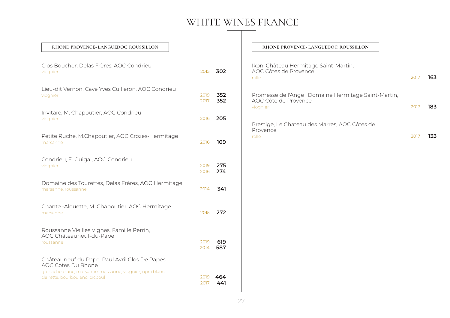### WHITE WINES FRANCE

| RHONE-PROVENCE- LANGUEDOC-ROUSSILLON | RHONE-PROVENCE- LANGUEDOC-ROUSSILLON |  |
|--------------------------------------|--------------------------------------|--|
|                                      |                                      |  |

| Clos Boucher, Delas Frères, AOC Condrieu<br>viognier                                                                                                                         | 2015         | 302        |
|------------------------------------------------------------------------------------------------------------------------------------------------------------------------------|--------------|------------|
| Lieu-dit Vernon, Cave Yves Cuilleron, AOC Condrieu<br>viognier                                                                                                               | 2019<br>2017 | 352<br>352 |
| Invitare, M. Chapoutier, AOC Condrieu<br>viognier                                                                                                                            | 2016         | 205        |
| Petite Ruche, M.Chapoutier, AOC Crozes-Hermitage<br>marsanne                                                                                                                 | 2016         | 109        |
| Condrieu, E. Guigal, AOC Condrieu<br>viognier                                                                                                                                | 2019<br>2016 | 275<br>274 |
| Domaine des Tourettes, Delas Frères, AOC Hermitage<br>marsanne, roussanne                                                                                                    | 2014         | 341        |
| Chante - Alouette, M. Chapoutier, AOC Hermitage<br>marsanne                                                                                                                  | 2015         | 272        |
| Roussanne Vieilles Vignes, Famille Perrin,<br>AOC Châteauneuf-du-Pape<br>roussanne                                                                                           | 2019<br>2014 | 619<br>587 |
| Châteauneuf du Pape, Paul Avril Clos De Papes,<br><b>AOC Cotes Du Rhone</b><br>grenache blanc, marsanne, roussanne, viognier, ugni blanc,<br>clairette, bourboulenc, picpoul | 2019<br>2017 | 464<br>441 |

| Ikon, Château Hermitage Saint-Martin,<br>AOC Côtes de Provence<br>rolle                 | 2017 | 163 |
|-----------------------------------------------------------------------------------------|------|-----|
| Promesse de l'Ange, Domaine Hermitage Saint-Martin,<br>AOC Côte de Provence<br>viognier | 2017 | 183 |
| Prestige, Le Chateau des Marres, AOC Côtes de<br>Provence<br>rolle                      |      |     |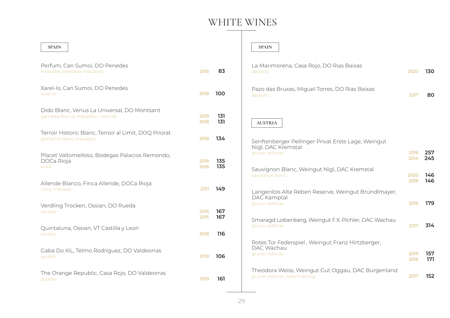| <b>SPAIN</b>                                                                       |              |            | <b>SPAIN</b>                                                                          |              |            |
|------------------------------------------------------------------------------------|--------------|------------|---------------------------------------------------------------------------------------|--------------|------------|
| Perfum, Can Sumoi, DO Penedes<br>moscatel, parellada, macabeo                      | 2018         | 83         | La Marimorena, Casa Rojo, DO Rias Baixas<br>albariño                                  | 2020         | 130        |
| Xarel-lo, Can Sumoi, DO Penedes<br>xarel-lo                                        | 2018         | 100        | Pazo das Bruxas, Miguel Torres, DO Rias Baixas<br>albariño                            | 2017         | 80         |
| Dido Blanc, Venus La Universal, DO Montsant<br>garnatxa blanca, macabeu i cartoixà | 2019<br>2018 | 131<br>131 | <b>AUSTRIA</b>                                                                        |              |            |
| Terroir Historic Blanc, Terroir al Limit, DOQ Priorat<br>grenache blanc, macabeu   | 2018         | 134        | Senftenberger Pellinger Privat Erste Lage, Weingut<br>Nigl, DAC Kremstal              |              |            |
| Placet Valtomelloso, Bodegas Palacios Remondo,<br>DOCa Rioja<br>viura              | 2018<br>2016 | 135<br>135 | grüner veltliner<br>Sauvignon Blanc, Weingut Nigl, DAC Kremstal                       | 2019<br>2014 | 257<br>245 |
| Allende Blanco, Finca Allende, DOCa Rioja<br>viura, malvasia                       | 2011         | 149        | sauvignon blanc<br>Langenlois Alte Reben Reserve, Weingut Bründlmayer,<br>DAC Kamptal | 2020<br>2018 | 146<br>146 |
| Verdling Trocken, Ossian, DO Rueda<br>verdejo                                      | 2016<br>2015 | 167<br>167 | grüner veltliner<br>Smaragd Loibenberg, Weingut F.X. Pichler, DAC Wachau              | 2016         | 179        |
| Quintaluna, Ossian, VT Castilla y Leon<br>verdejo                                  | 2018         | 116        | grüner veltliner                                                                      | 2017         | 314        |
| Gaba Do XiL, Telmo Rodriguez, DO Valdeorras<br>godello                             | 2019         | 106        | Rotes Tor Federspiel, Weingut Franz Hirtzberger,<br>DAC Wachau<br>grüner veltliner    | 2019<br>2018 | 157<br>171 |
| The Orange Republic, Casa Rojo, DO Valdeorras<br>godello                           | 2019         | 161        | Theodora Weiss, Weingut Gut Oggau, DAC Burgenland<br>grüner veltliner, welschriesling | 2017         | 152        |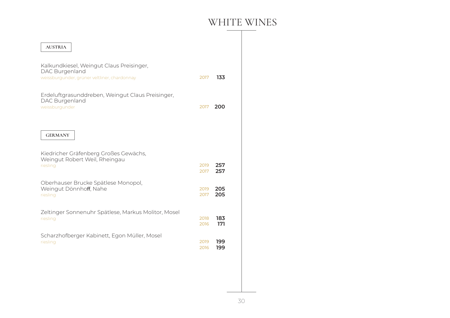| <b>AUSTRIA</b>                                                                                             |              |            |
|------------------------------------------------------------------------------------------------------------|--------------|------------|
| Kalkundkiesel, Weingut Claus Preisinger,<br>DAC Burgenland<br>weissburgunder, grüner veltliner, chardonnay | 2017         | 133        |
| Erdeluftgrasunddreben, Weingut Claus Preisinger,<br>DAC Burgenland<br>weissburgunder                       | 2017         | 200        |
| <b>GERMANY</b>                                                                                             |              |            |
| Kiedricher Gräfenberg Großes Gewächs,<br>Weingut Robert Weil, Rheingau<br>riesling                         | 2019<br>2017 | 257<br>257 |
| Oberhauser Brucke Spätlese Monopol,<br>Weingut Dönnhoff, Nahe<br>riesling                                  | 2019<br>2017 | 205<br>205 |
| Zeltinger Sonnenuhr Spätlese, Markus Molitor, Mosel<br>riesling                                            | 2018<br>2016 | 183<br>171 |
| Scharzhofberger Kabinett, Egon Müller, Mosel<br>riesling                                                   | 2019<br>2016 | 199<br>199 |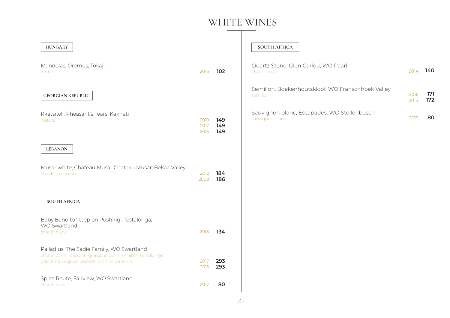| <b>HUNGARY</b>                                                                                                                                                   |                      |                   | <b>SOUTH AFRICA</b>                                            |              |            |
|------------------------------------------------------------------------------------------------------------------------------------------------------------------|----------------------|-------------------|----------------------------------------------------------------|--------------|------------|
| Mandolas, Oremus, Tokaji<br>furmint                                                                                                                              | 2016                 | 102               | Quartz Stone, Glen Carlou, WO Paarl<br>chardonnay              | 2014         | 140        |
| <b>GEORGIAN REPUBLIC</b>                                                                                                                                         |                      |                   | Semillon, Boekenhoutskloof, WO Franschhoek Valley<br>semillon  | 2016<br>2014 | 171<br>172 |
| Rkatsiteli, Pheasant's Tears, Kakheti<br>rkatsiteli                                                                                                              | 2019<br>2017<br>2016 | 149<br>149<br>149 | Sauvignon blanc, Escapades, WO Stellenbosch<br>sauvignon blanc | 2019         | 80         |
| <b>LEBANON</b>                                                                                                                                                   |                      |                   |                                                                |              |            |
| Musar white, Chateau Musar Chateau Musar, Bekaa Valley<br>obaideh, merwan                                                                                        | 2012<br>2008         | 184<br>186        |                                                                |              |            |
| <b>SOUTH AFRICA</b>                                                                                                                                              |                      |                   |                                                                |              |            |
| Baby Bandito 'Keep on Pushing', Testalonga,<br>WO Swartland<br>chenin blanc                                                                                      | 2018                 | 134               |                                                                |              |            |
| Palladius, The Sadie Family, WO Swartland<br>chenin blanc, roussane, grenache blanc, semillon, semillon gris,<br>palomino, viognier, clairette blanche, verdelho | 2017<br>2015         | 293<br>293        |                                                                |              |            |
| Spice Route, Fairview, WO Swartland<br>chenin blanc                                                                                                              | 2017                 | 80                |                                                                |              |            |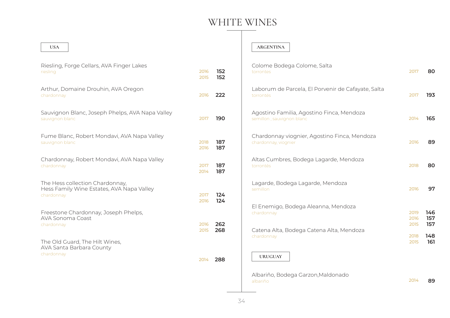#### **USA**

| Riesling, Forge Cellars, AVA Finger Lakes                                                  |              |            |
|--------------------------------------------------------------------------------------------|--------------|------------|
| riesling                                                                                   | 2016<br>2015 | 152<br>152 |
| Arthur, Domaine Drouhin, AVA Oregon<br>chardonnay                                          | 2016         | 222        |
| Sauvignon Blanc, Joseph Phelps, AVA Napa Valley<br>sauvignon blanc                         | 2017         | 190        |
| Fume Blanc, Robert Mondavi, AVA Napa Valley<br>sauvignon blanc                             | 2018<br>2016 | 187<br>187 |
| Chardonnay, Robert Mondavi, AVA Napa Valley<br>chardonnay                                  | 2017<br>2014 | 187<br>187 |
| The Hess collection Chardonnay,<br>Hess Family Wine Estates, AVA Napa Valley<br>chardonnay | 2017<br>2016 | 124<br>124 |
| Freestone Chardonnay, Joseph Phelps,<br>AVA Sonoma Coast<br>chardonnay                     | 2016<br>2015 | 262<br>268 |
| The Old Guard, The Hilt Wines,<br>AVA Santa Barbara County<br>chardonnay                   |              |            |
|                                                                                            | 2014         | 288        |

#### **ARGENTINA**

| Colome Bodega Colome, Salta<br>torrontes                               | 2017                 | 80                |
|------------------------------------------------------------------------|----------------------|-------------------|
| Laborum de Parcela, El Porvenir de Cafayate, Salta<br>torrontés        | 2017                 | 193               |
| Agostino Familia, Agostino Finca, Mendoza<br>semillon, sauvignon blanc | 2014                 | 165               |
| Chardonnay viognier, Agostino Finca, Mendoza<br>chardonnay, viognier   | 2016                 | 89                |
| Altas Cumbres, Bodega Lagarde, Mendoza<br>torrontés                    | 2018                 | 80                |
| Lagarde, Bodega Lagarde, Mendoza<br>semillon                           | 2016                 | 97                |
| El Enemigo, Bodega Aleanna, Mendoza<br>chardonnay                      | 2019<br>2016<br>2015 | 146<br>157<br>157 |
| Catena Alta, Bodega Catena Alta, Mendoza<br>chardonnay                 | 2018<br>2015         | 148<br>161        |
| <b>URUGUAY</b>                                                         |                      |                   |
| Albariño Bodoga Garzon Maldonado                                       |                      |                   |

Albariño, Bodega Garzon,Maldonado albariño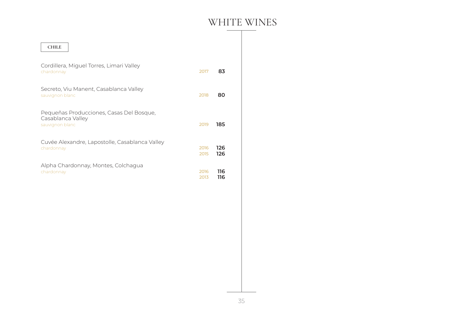| <b>CHILE</b>                                                                     |              |            |
|----------------------------------------------------------------------------------|--------------|------------|
| Cordillera, Miguel Torres, Limari Valley<br>chardonnay                           | 2017         | 83         |
| Secreto, Viu Manent, Casablanca Valley<br>sauvignon blanc                        | 2018         | 80         |
| Pequeñas Producciones, Casas Del Bosque,<br>Casablanca Valley<br>sauvignon blanc | 2019         | 185        |
| Cuvée Alexandre, Lapostolle, Casablanca Valley<br>chardonnay                     | 2016<br>2015 | 126<br>126 |
| Alpha Chardonnay, Montes, Colchagua<br>chardonnay                                | 2016<br>2013 | 116<br>116 |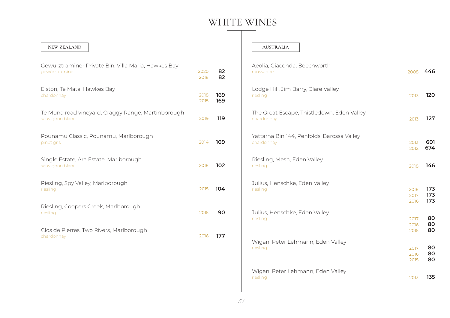#### **NEW ZEALAND**

| Gewürztraminer Private Bin, Villa Maria, Hawkes Bay<br>gewürztraminer | 2020<br>2018 | 82<br>82   |
|-----------------------------------------------------------------------|--------------|------------|
| Elston, Te Mata, Hawkes Bay<br>chardonnay                             | 2018<br>2015 | 169<br>169 |
| Te Muna road vineyard, Craggy Range, Martinborough<br>sauvignon blanc | 2019         | 119        |
| Pounamu Classic, Pounamu, Marlborough<br>pinot gris                   | 2014         | 109        |
| Single Estate, Ara Estate, Marlborough<br>sauvignon blanc             | 2018         | 102        |
| Riesling, Spy Valley, Marlborough<br>riesling                         | 2015         | 104        |
| Riesling, Coopers Creek, Marlborough<br>riesling                      | 2015         | 90         |
| Clos de Pierres, Two Rivers, Marlborough<br>chardonnay                | 2016         | 177        |
|                                                                       |              |            |

#### **AUSTRALIA**

| Aeolia, Giaconda, Beechworth<br>roussanne                | 2008                 | - 446             |
|----------------------------------------------------------|----------------------|-------------------|
| Lodge Hill, Jim Barry, Clare Valley<br>riesling          | 2013                 | 120               |
| The Great Escape, Thistledown, Eden Valley<br>chardonnay | 2013                 | 127               |
| Yattarna Bin 144, Penfolds, Barossa Valley<br>chardonnay | 2013<br>2012         | 601<br>674        |
| Riesling, Mesh, Eden Valley<br>riesling                  | 2018                 | 146               |
| Julius, Henschke, Eden Valley<br>riesling                | 2018<br>2017<br>2016 | 173<br>173<br>173 |
| Julius, Henschke, Eden Valley<br>riesling                | 2017<br>2016<br>2015 | 80<br>80<br>80    |
| Wigan, Peter Lehmann, Eden Valley<br>riesling            | 2017<br>2016<br>2015 | 80<br>80<br>80    |
| Wigan, Peter Lehmann, Eden Valley<br>riesling            | 2013                 | 135               |
|                                                          |                      |                   |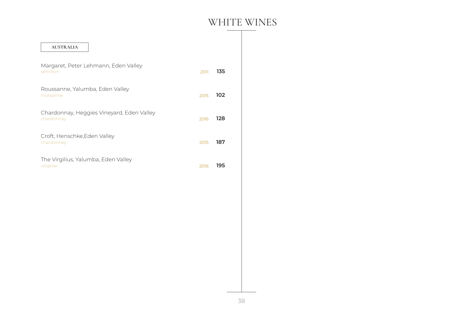| <b>AUSTRALIA</b>                                        |      |     |
|---------------------------------------------------------|------|-----|
| Margaret, Peter Lehmann, Eden Valley<br>semillon        | 2011 | 135 |
| Roussanne, Yalumba, Eden Valley<br>roussanne            | 2015 | 102 |
| Chardonnay, Heggies Vineyard, Eden Valley<br>chardonnay | 2016 | 128 |
| Croft, Henschke, Eden Valley<br>chardonnay              | 2015 | 187 |
| The Virgilius, Yalumba, Eden Valley<br>viognier         | 2016 | 195 |
|                                                         |      |     |
|                                                         |      |     |
|                                                         |      |     |
|                                                         |      |     |
|                                                         |      |     |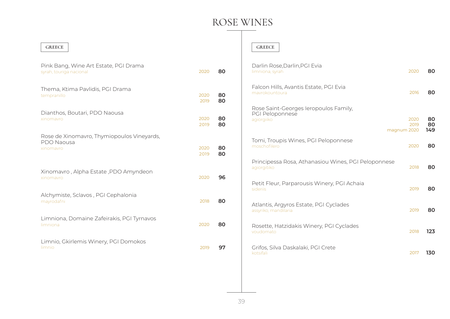### ROSE WINES

#### **GREECE**

| Pink Bang, Wine Art Estate, PGI Drama<br>syrah, touriga nacional      | 2020         | 80       |
|-----------------------------------------------------------------------|--------------|----------|
| Thema, Ktima Pavlidis, PGI Drama<br>tempranillo                       | 2020<br>2019 | 80<br>80 |
| Dianthos, Boutari, PDO Naousa<br>xinomavro                            | 2020<br>2019 | 80<br>80 |
| Rose de Xinomavro, Thymiopoulos Vineyards,<br>PDO Naousa<br>xinomavro | 2020<br>2019 | 80<br>80 |
| Xinomavro, Alpha Estate, PDO Amyndeon<br>xinomavro                    | 2020         | 96       |
| Alchymiste, Sclavos, PGI Cephalonia<br>mayrodafni                     | 2018         | 80       |
| Limniona, Domaine Zafeirakis, PGI Tyrnavos<br>limniona                | 2020         | 80       |
| Limnio, Gkirlemis Winery, PGI Domokos<br>limnio                       | 2019         | 97       |

### **GREECE**

| Darlin Rose, Darlin, PGI Evia<br>2020<br>limniona, syrah                                      |      | 80              |
|-----------------------------------------------------------------------------------------------|------|-----------------|
| Falcon Hills, Avantis Estate, PGI Evia<br>mayrokountoura                                      | 2016 | 80              |
| Rose Saint-Georges leropoulos Family,<br>PGI Peloponnese<br>agiorgiiko<br>2020<br>magnum 2020 | 2019 | 80<br>80<br>149 |
| Tomi, Troupis Wines, PGI Peloponnese<br>moschofilero<br>2020                                  |      | 80              |
| Principessa Rosa, Athanasiou Wines, PGI Peloponnese<br>agiorgitiko                            | 2018 | 80              |
| Petit Fleur, Parparousis Winery, PGI Achaia<br>sideriis                                       | 2019 | 80              |
| Atlantis, Argyros Estate, PGI Cyclades<br>assyriko, mandilaria                                | 2019 | 80              |
| Rosette, Hatzidakis Winery, PGI Cyclades<br>voudomato                                         | 2018 | 123             |
| Grifos, Silva Daskalaki, PGI Crete<br>kotsifali                                               | 2017 | 130             |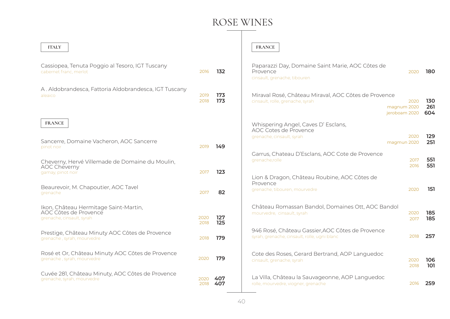## ROSE WINES

| <b>ITALY</b>                                                                                |              |            | <b>FRANCE</b>                                                                                                                    |              |                   |
|---------------------------------------------------------------------------------------------|--------------|------------|----------------------------------------------------------------------------------------------------------------------------------|--------------|-------------------|
| Cassiopea, Tenuta Poggio al Tesoro, IGT Tuscany<br>cabernet franc, merlot                   | 2016         | 132        | Paparazzi Day, Domaine Saint Marie, AOC Côtes de<br>Provence<br>2020<br>cinsault, grenache, tibouren                             |              | 180               |
| A. Aldobrandesca, Fattoria Aldobrandesca, IGT Tuscany<br>aleaico                            | 2019<br>2018 | 173<br>173 | Miraval Rosé, Château Miraval, AOC Côtes de Provence<br>cinsault, rolle, grenache, syrah<br>2020<br>magnum 2020<br>jeroboam 2020 |              | 130<br>261<br>604 |
| <b>FRANCE</b><br>Sancerre, Domaine Vacheron, AOC Sancerre<br>pinot noir                     | 2019         | 149        | Whispering Angel, Caves D' Esclans,<br>AOC Cotes de Provence<br>2020<br>grenache, cinsault, syrah<br>magmun 2020                 |              | 129<br>251        |
| Cheverny, Hervé Villemade de Domaine du Moulin,<br><b>AOC Cheverny</b><br>gamay, pinot noir | 2017         | 123        | Garrus, Chateau D'Esclans, AOC Cote de Provence<br>grenache, rolle                                                               | 2017<br>2016 | 551<br>551        |
| Beaurevoir, M. Chapoutier, AOC Tavel<br>grenache                                            | 2017         | 82         | Lion & Dragon, Château Roubine, AOC Côtes de<br>Provence<br>2020<br>grenache, tibouren, mourvedre                                |              | 151               |
| Ikon, Château Hermitage Saint-Martin,<br>AOC Côtes de Provence<br>grenache, cinsault, syrah | 2020<br>2018 | 127<br>125 | Château Romassan Bandol, Domaines Ott, AOC Bandol<br>2020<br>mourvedre, cinsault, syrah<br>2017                                  |              | 185<br>185        |
| Prestige, Château Minuty AOC Côtes de Provence<br>grenache, syrah, mourvedre                | 2018         | 179        | 946 Rosé, Château Gassier, AOC Côtes de Provence<br>syrah, grenache, cinsault, rolle, ugni blanc                                 | 2018         | 257               |
| Rosé et Or, Château Minuty AOC Côtes de Provence<br>grenache, syrah, mourvedre              | 2020         | 179        | Cote des Roses, Gerard Bertrand, AOP Languedoc<br>cinsault, grenache, syrah<br>2020                                              | 2018         | 106<br>101        |
| Cuvée 281, Château Minuty, AOC Côtes de Provence<br>grenache, syrah, mourvedre              | 2020<br>2018 | 407<br>407 | La Villa, Château la Sauvageonne, AOP Languedoc<br>rolle, mourvedre, viogner, grenache                                           | 2016         | 259               |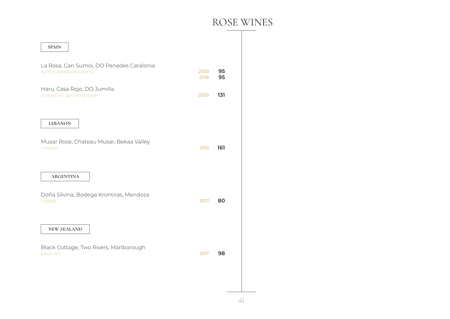### ROSE WINES

| <b>SPAIN</b>                                                            |              |          |
|-------------------------------------------------------------------------|--------------|----------|
| La Rosa, Can Sumoi, DO Penedes Catalonia<br>sumoll, parellada, xarel-lo | 2020<br>2018 | 95<br>95 |
| Haru, Casa Rojo, DO Jumilla<br>monastrell, garnacha, syrah              | 2020         | 131      |
| <b>LEBANON</b>                                                          |              |          |
| Musar Rose, Chateau Musar, Bekaa Valley<br>cinsault                     | 2012         | 161      |
| <b>ARGENTINA</b>                                                        |              |          |
| Doña Silvina, Bodega Krontiras, Mendoza<br>malbec                       | 2017         | 80       |
| <b>NEW ZEALAND</b>                                                      |              |          |
| Black Cottage, Two Rivers, Marlborough<br>pinot noir                    | 2017         | 98       |
|                                                                         |              |          |
|                                                                         |              |          |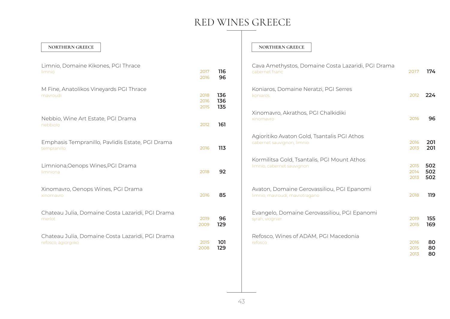#### **NORTHERN GREECE**

| Limnio, Domaine Kikones, PGI Thrace<br>limnio                           | 2017<br>2016         | 116<br>96         |
|-------------------------------------------------------------------------|----------------------|-------------------|
| M Fine, Anatolikos Vineyards PGI Thrace<br>mavroudi                     | 2018<br>2016<br>2015 | 136<br>136<br>135 |
| Nebbio, Wine Art Estate, PGI Drama<br>nebbiolo                          | 2012                 | 161               |
| Emphasis Tempranillo, Pavlidis Estate, PGI Drama<br>tempranillo         | 2016                 | 113               |
| Limniona, Oenops Wines, PGI Drama<br>limniona                           | 2018                 | 92                |
| Xinomavro, Oenops Wines, PGI Drama<br>xinomavro                         | 2016                 | 85                |
| Chateau Julia, Domaine Costa Lazaridi, PGI Drama<br>merlot              | 2019<br>2009         | 96<br>129         |
| Chateau Julia, Domaine Costa Lazaridi, PGI Drama<br>refosco, agiorgiiko | 2015<br>2008         | 101<br>129        |

#### **NORTHERN GREECE**

| Cava Amethystos, Domaine Costa Lazaridi, PGI Drama<br>cabernet franc         | 2017                 | 174               |
|------------------------------------------------------------------------------|----------------------|-------------------|
| Koniaros, Domaine Neratzi, PGI Serres<br>koniaros                            | 2012                 | 224               |
| Xinomavro, Akrathos, PGI Chalkidiki<br>xinomavro                             | 2016                 | 96                |
| Agioritiko Avaton Gold, Tsantalis PGI Athos<br>cabernet sauvignon, limnio    | 2016<br>2013         | 201<br>201        |
| Kormilitsa Gold, Tsantalis, PGI Mount Athos<br>limnio, cabernet sauvignon    | 2015<br>2014<br>2013 | 502<br>502<br>502 |
| Avaton, Domaine Gerovassiliou, PGI Epanomi<br>limnio, mavroudi, mavrotragano | 2018                 | 119               |
| Evangelo, Domaine Gerovassiliou, PGI Epanomi<br>syrah, viognier              | 2019<br>2015         | 155<br>169        |
| Refosco, Wines of ADAM, PGI Macedonia<br>refosco                             | 2016<br>2015<br>2013 | 80<br>80<br>80    |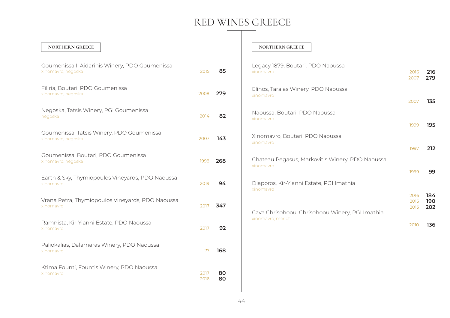**216**

**135**

**212**

**99**

**184 190 202**

**136**

| NORTHERN GREECE                                                      |              |          | <b>NORTHERN GREECE</b>                                       |                      |                   |
|----------------------------------------------------------------------|--------------|----------|--------------------------------------------------------------|----------------------|-------------------|
| Goumenissa I, Aidarinis Winery, PDO Goumenissa<br>xinomavro, negoska | 2015         | 85       | Legacy 1879, Boutari, PDO Naoussa<br>xinomavro               | 2016<br>2007         | 216<br>279        |
| Filiria, Boutari, PDO Goumenissa<br>xinomavro, negoska               | 2008         | 279      | Elinos, Taralas Winery, PDO Naoussa<br>xinomayro             | 2007                 | 135               |
| Negoska, Tatsis Winery, PGI Goumenissa<br>negoska                    | 2014         | 82       | Naoussa, Boutari, PDO Naoussa<br>xinomavro                   | 1999                 | 195               |
| Goumenissa, Tatsis Winery, PDO Goumenissa<br>xinomavro, negoska      | 2007         | 143      | Xinomavro, Boutari, PDO Naoussa<br>xinomayro                 |                      |                   |
| Goumenissa, Boutari, PDO Goumenissa<br>xinomavro, negoska            | 1998         | 268      | Chateau Pegasus, Markovitis Winery, PDO Naoussa<br>xinomavro | 1997                 | 212               |
| Earth & Sky, Thymiopoulos Vineyards, PDO Naoussa<br>xinomavro        | 2019         | 94       | Diaporos, Kir-Yianni Estate, PGI Imathia<br>xinomayro        | 1999                 | 99                |
| Vrana Petra, Thymiopoulos Vineyards, PDO Naoussa<br>xinomavro        | 2017         | 347      | Cava Chrisohoou, Chrisohoou Winery, PGI Imathia              | 2016<br>2015<br>2013 | 184<br>190<br>202 |
| Ramnista, Kir-Yianni Estate, PDO Naoussa<br>xinomavro                | 2017         | 92       | xinomavro, merlot                                            | 2010                 | 136               |
| Paliokalias, Dalamaras Winery, PDO Naoussa<br>xinomavro              | ??           | 168      |                                                              |                      |                   |
| Ktima Founti, Fountis Winery, PDO Naoussa<br>xinomavro               | 2017<br>2016 | 80<br>80 |                                                              |                      |                   |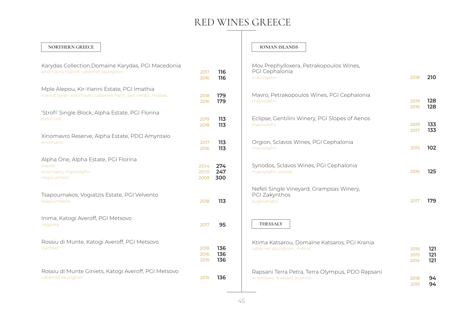#### **NORTHERN GREECE**

| Karydas Collection, Domaine Karydas, PGI Macedonia<br>xinomavro, merlot, cabernet sauvignon                  | 2017<br>2016         | 116<br>116        |
|--------------------------------------------------------------------------------------------------------------|----------------------|-------------------|
| Mple Alepou, Kir-Yianni Estate, PGI Imathia<br>merlot, syrah, xinomavro, cabernet franc, peit verdot, malbec | 2018<br>2016         | 179<br>179        |
| 'Strofi' Single Block, Alpha Estate, PGI Florina<br>pinot noir                                               | 2019<br>2018         | 113<br>113        |
| Xinomavro Reserve, Alpha Estate, PDO Amyntaio<br>xinomavro                                                   | 2017<br>2016         | 113<br>113        |
| Alpha One, Alpha Estate, PGI Florina<br>merlot<br>xinomavro, mavrodafni<br>negro amaro                       | 2014<br>2010<br>2009 | 274<br>247<br>300 |
| Tsapournakos, Vogiatzis Estate, PGI Velvento<br>tsapournakos                                                 | 2018                 | 113               |
| Inima, Katogi Averoff, PGI Metsovo<br>negoska                                                                | 2017                 | 95                |
| Rossiu di Munte, Katogi Averoff, PGI Metsovo<br>vlachiko                                                     | 2018<br>2016<br>2015 | 136<br>136<br>136 |
| Rossiu di Munte Giniets, Katogi Averoff, PGI Metsovo<br>cabernet sauvignon                                   | 2015                 | 136               |

#### **IONIAN ISLANDS**

| Mov Prephylloxera, Petrakopoulos Wines,<br>PGI Cephalonia<br>mavrodafni          | 2018                 | 210               |
|----------------------------------------------------------------------------------|----------------------|-------------------|
| Mavro, Petrakopoulos Wines, PGI Cephalonia<br>mavrodafni                         | 2019<br>2016         | 128<br>128        |
| Eclipse, Gentilini Winery, PGI Slopes of Aenos<br>mavrodafni                     | 2019<br>2017         | 133<br>133        |
| Orgion, Sclavos Wines, PGI Cephalonia<br>mavrodafni                              | 2015                 | 102               |
| Synodos, Sclavos Wines, PGI Cephalonia<br>mavrodafni, vosilidi                   | 2016                 | 125               |
| Nefeli Single Vineyard, Grampsas Winery,<br>PGI Zakynthos<br>augoustiatis        | 2017                 | 179               |
| THESSALY                                                                         |                      |                   |
| Ktima Katsarou, Domaine Katsaros, PGI Krania<br>cabernet sauvignon, merlot       | 2016<br>2015<br>2014 | 121<br>121<br>121 |
| Rapsani Terra Petra, Terra Olympus, PDO Rapsani<br>xinomavro, krassato, stavroto | 2018<br>2015         | 94<br>94          |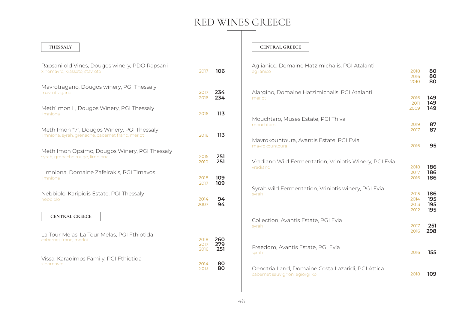#### **THESSALY**

| Rapsani old Vines, Dougos winery, PDO Rapsani<br>xinomavro, krassato, stavroto                  | 2017                 | 106               |
|-------------------------------------------------------------------------------------------------|----------------------|-------------------|
| Mavrotragano, Dougos winery, PGI Thessaly                                                       | 2017                 | 234               |
| mavrotragano                                                                                    | 2016                 | 234               |
| Meth'Imon L, Dougos Winery, PGI Thessaly<br>limniona                                            | 2016                 | 113               |
| Meth Imon "7", Dougos Winery, PGI Thessaly<br>limniona, syrah, grenache, cabernet franc, merlot | 2016                 | 113               |
| Meth Imon Opsimo, Dougos Winery, PGI Thessaly                                                   | 2015                 | 251               |
| syrah, grenache rouge, limniona                                                                 | 2010                 | 251               |
| Limniona, Domaine Zafeirakis, PGI Tirnavos                                                      | 2018                 | 109               |
| limniona                                                                                        | 2017                 | 109               |
| Nebbiolo, Karipidis Estate, PGI Thessaly                                                        | 2014                 | 94                |
| nebbiolo                                                                                        | 2007                 | 94                |
| <b>CENTRAL GREECE</b>                                                                           |                      |                   |
| La Tour Melas, La Tour Melas, PGI Fthiotida<br>cabernet franc, merlot                           | 2018<br>2017<br>2016 | 260<br>279<br>251 |
| Vissa, Karadimos Family, PGI Fthiotida                                                          | 2014                 | 80                |
| xinomayro                                                                                       | 2013                 | 80                |

#### **CENTRAL GREECE**

| Aglianico, Domaine Hatzimichalis, PGI Atalanti<br>aglianico                         | 2018<br>2016<br>2010         | 80<br>80<br>80           |
|-------------------------------------------------------------------------------------|------------------------------|--------------------------|
| Alargino, Domaine Hatzimichalis, PGI Atalanti<br>merlot                             | 2016<br>2011<br>2009         | 149<br>149<br>149        |
| Mouchtaro, Muses Estate, PGI Thiva<br>mouchtaro                                     | 2019<br>2017                 | 87<br>87                 |
| Mavrokountoura, Avantis Estate, PGI Evia<br>mavrokountoura                          | 2016                         | 95                       |
| Vradiano Wild Fermentation, Vriniotis Winery, PGI Evia<br>vradiano                  | 2018<br>2017<br>2016         | 186<br>186<br>186        |
| Syrah wild Fermentation, Vriniotis winery, PGI Evia<br>syrah                        | 2015<br>2014<br>2013<br>2012 | 186<br>195<br>195<br>195 |
| Collection, Avantis Estate, PGI Evia<br>syrah                                       | 2017<br>2016                 | 251<br>298               |
| Freedom, Avantis Estate, PGI Evia<br>syrah                                          | 2016                         | 155                      |
| Oenotria Land, Domaine Costa Lazaridi, PGI Attica<br>cabernet sauvignon, agiorgiiko | 2018                         | 109                      |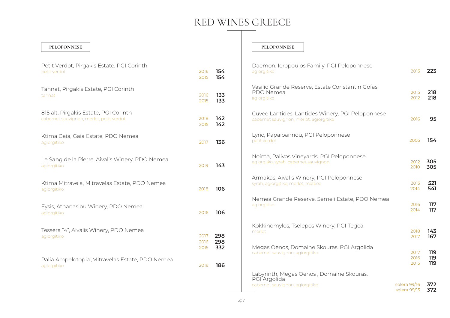#### **PELOPONNESE**

| Petit Verdot, Pirgakis Estate, PGI Corinth<br>petit verdot                        | 2016<br>2015         | 154<br>154        |
|-----------------------------------------------------------------------------------|----------------------|-------------------|
| Tannat, Pirgakis Estate, PGI Corinth<br>tannat                                    | 2016<br>2015         | 133<br>133        |
| 815 alt, Pirgakis Estate, PGI Corinth<br>cabernet sauvignon, merlot, petit verdot | 2018<br>2015         | 142<br>142        |
| Ktima Gaia, Gaia Estate, PDO Nemea<br>agiorgitiko                                 | 2017                 | 136               |
| Le Sang de la Pierre, Aivalis Winery, PDO Nemea<br>agiorgitiko                    | 2019                 | 143               |
| Ktima Mitravela, Mitravelas Estate, PDO Nemea<br>agiorgitiko                      | 2018                 | 106               |
| Fysis, Athanasiou Winery, PDO Nemea<br>agiorgitiko                                | 2016                 | 106               |
| Tessera "4", Aivalis Winery, PDO Nemea<br>agiorgitiko                             | 2017<br>2016<br>2015 | 298<br>298<br>332 |
| Palia Ampelotopia , Mitravelas Estate, PDO Nemea<br>agiorgitiko                   | 2016                 | 186               |

#### **PELOPONNESE**

| Daemon, Ieropoulos Family, PGI Peloponnese<br>agiorgitiko                                   | 2015                         | 223               |
|---------------------------------------------------------------------------------------------|------------------------------|-------------------|
| Vasilio Grande Reserve, Estate Constantin Gofas,<br>PDO Nemea<br>agiorgitiko                | 2015<br>2012                 | 218<br>218        |
| Cuvee Lantides, Lantides Winery, PGI Peloponnese<br>cabernet sauvignon, merlot, agiorgitiko | 2016                         | 95                |
| Lyric, Papaioannou, PGI Peloponnese<br>petit verdot                                         | 2005                         | 154               |
| Noima, Palivos Vineyards, PGI Peloponnese<br>agiorgiiko, syrah, cabernet sauvignon          | 2012<br>2010                 | 305<br>305        |
| Armakas, Aivalis Winery, PGI Peloponnese<br>syrah, agiorgitiko, merlot, malbec              | 2015<br>2014                 | 521<br>541        |
| Nemea Grande Reserve, Semeli Estate, PDO Nemea<br>agiorgitiko                               | 2016<br>2014                 | 117<br>117        |
| Kokkinomylos, Tselepos Winery, PGI Tegea<br>merlot                                          | 2018<br>2017                 | 143<br>167        |
| Megas Oenos, Domaine Skouras, PGI Argolida<br>cabernet sauvignon, agiorgitiko               | 2017<br>2016<br>2015         | 119<br>119<br>119 |
| Labyrinth, Megas Oenos, Domaine Skouras,<br>PGI Argolida<br>cabernet sauvignon, agiorgitiko | solera 99/16<br>solera 99/15 | 372<br>372        |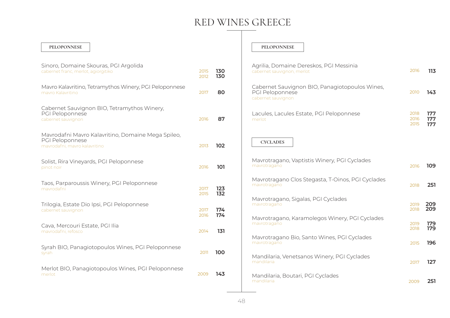#### **PELOPONNESE**

| Sinoro, Domaine Skouras, PGI Argolida<br>cabernet franc, merlot, agiorgitiko                           | 2015<br>2012 | 130<br>130 |
|--------------------------------------------------------------------------------------------------------|--------------|------------|
| Mavro Kalavritino, Tetramythos Winery, PGI Peloponnese<br>mayro Kalayritino                            | 2017         | 80         |
| Cabernet Sauvignon BIO, Tetramythos Winery,<br>PGI Peloponnese<br>cabernet sauvignon                   | 2016         | 87         |
| Mavrodafni Mavro Kalavritino, Domaine Mega Spileo,<br>PGI Peloponnese<br>mavrodafni, mavro kalavritino | 2013         | 102        |
| Solist, Rira Vineyards, PGI Peloponnese<br>pinot noir                                                  | 2016         | 101        |
| Taos, Parparoussis Winery, PGI Peloponnese<br>mavrodafni                                               | 2017<br>2015 | 123<br>132 |
| Trilogia, Estate Dio Ipsi, PGI Peloponnese<br>cabernet sauvignon                                       | 2017<br>2016 | 174<br>174 |
| Cava, Mercouri Estate, PGI Ilia<br>mavrodafni, refosco                                                 | 2014         | 131        |
| Syrah BIO, Panagiotopoulos Wines, PGI Peloponnese<br>syrah                                             | 2011         | 100        |
| Merlot BIO, Panagiotopoulos Wines, PGI Peloponnese<br>merlot                                           | 2009         | 143        |

#### **PELOPONNESE**

| Agrilia, Domaine Dereskos, PGI Messinia<br>cabernet sauvignon, merlot                   | 2016                 | 113               |
|-----------------------------------------------------------------------------------------|----------------------|-------------------|
| Cabernet Sauvignon BIO, Panagiotopoulos Wines,<br>PGI Peloponnese<br>cabernet sauvignon | 2010                 | 143               |
| Lacules, Lacules Estate, PGI Peloponnese<br>merlot                                      | 2018<br>2016<br>2015 | 177<br>177<br>177 |
| <b>CYCLADES</b>                                                                         |                      |                   |
| Mavrotragano, Vaptistis Winery, PGI Cyclades<br>mavrotragano                            | 2016                 | 109               |
| Mavrotragano Clos Stegasta, T-Oinos, PGI Cyclades<br>mavrotragano                       | 2018                 | 251               |
| Mavrotragano, Sigalas, PGI Cyclades<br>mavrotragano                                     | 2019<br>2018         | 209<br>209        |
| Mavrotragano, Karamolegos Winery, PGI Cyclades<br>mavrotragano                          | 2019<br>2018         | 179<br>179        |
| Mavrotragano Bio, Santo Wines, PGI Cyclades<br>mavrotragano                             | 2015                 | 196               |
| Mandilaria, Venetsanos Winery, PGI Cyclades<br>mandilaria                               | 2017                 | 127               |
| Mandilaria, Boutari, PGI Cyclades<br>mandilaria                                         | 2009                 | 251               |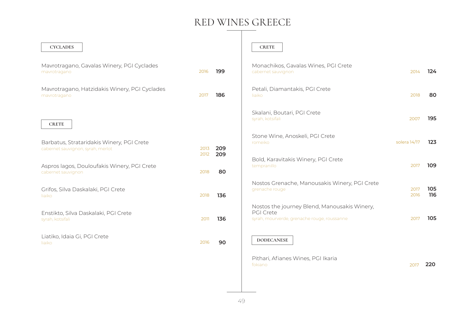Τ

 $\overline{\phantom{a}}$ 

| <b>CYCLADES</b>                                                                |              |            | <b>CRETE</b>                                                                                                    |              |            |
|--------------------------------------------------------------------------------|--------------|------------|-----------------------------------------------------------------------------------------------------------------|--------------|------------|
| Mavrotragano, Gavalas Winery, PGI Cyclades<br>mavrotragano                     | 2016         | 199        | Monachikos, Gavalas Wines, PGI Crete<br>cabernet sauvignon                                                      | 2014         | 124        |
| Mavrotragano, Hatzidakis Winery, PGI Cyclades<br>mavrotragano                  | 2017         | 186        | Petali, Diamantakis, PGI Crete<br>liaiko                                                                        | 2018         | 80         |
| <b>CRETE</b>                                                                   |              |            | Skalani, Boutari, PGI Crete<br>syrah, kotsifali                                                                 | 2007         | 195        |
| Barbatus, Strataridakis Winery, PGI Crete<br>cabernet sauvignon, syrah, merlot | 2013<br>2012 | 209<br>209 | Stone Wine, Anoskeli, PGI Crete<br>romeiko                                                                      | solera 14/17 | 123        |
| Aspros lagos, Douloufakis Winery, PGI Crete<br>cabernet sauvignon              | 2018         | 80         | Bold, Karavitakis Winery, PGI Crete<br>tempranillo                                                              | 2017         | 109        |
| Grifos, Silva Daskalaki, PGI Crete<br>liaiko                                   | 2018         | 136        | Nostos Grenache, Manousakis Winery, PGI Crete<br>grenache rouge                                                 | 2017<br>2016 | 105<br>116 |
| Enstikto, Silva Daskalaki, PGI Crete<br>syrah, kotsifali                       | 2011         | 136        | Nostos the journey Blend, Manousakis Winery,<br><b>PGI Crete</b><br>syrah, mourverde, grenache rouge, roussanne | 2017         | 105        |
| Liatiko, Idaia Gi, PGI Crete<br>liaiko                                         | 2016         | 90         | <b>DODECANESE</b>                                                                                               |              |            |
|                                                                                |              |            | Pithari, Afianes Wines, PGI Ikaria<br>fokiano                                                                   | 2017         | 220        |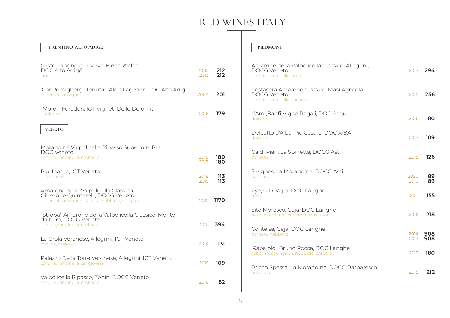#### **TRENTINO-ALTO ADIGE**

| Castel Ringberg Riserva, Elena Walch,<br>DOC Alto Adige<br>lagrein                                                             | 2015<br>2013 | 212<br>212 |
|--------------------------------------------------------------------------------------------------------------------------------|--------------|------------|
| 'Cor Romigberg', Tenutae Alois Lageder, DOC Alto Adige<br>cabernet sauvignon                                                   | 2004         | 201        |
| "Morei", Foradori, IGT Vigneti Delle Dolomiti<br>teroldego                                                                     | 2016         | 179        |
| <b>VENETO</b>                                                                                                                  |              |            |
| Morandina Valpolicella Ripasso Superiore, Pra,                                                                                 |              |            |
| DOC Veneto<br>corvina, rondinella, molinara                                                                                    | 2018<br>2017 | 180<br>180 |
| Piu, Inama, IGT Veneto<br>carmenere                                                                                            | 2018<br>2015 | 113<br>113 |
| Amarone della Valpolicella Classico,<br>Giuseppe Quintarelli, DOCG Veneto<br>cabernet sauvignon, corvina, nebbiolo, sangiovese | 2012         | 1170       |
| "Stropa" Amarone della Valpolicella Classico, Monte<br>dall'Ora, DOCG Veneto<br>corvina, rondinella, molinara                  | 2011         | 394        |
| La Grola Veronese, Allegrini, IGT Veneto<br>corvina, oseleta                                                                   | 2014         | 131        |
| Palazzo Della Torre Veronese, Allegrini, IGT Veneto<br>corvina, rondinella, sangiovese                                         | 2015         | 109        |
| Valpolicella Ripasso, Zonin, DOCG Veneto<br>corvina, rondinella, molinara                                                      | 2016         | 82         |

#### **PIEDMONT**

| Amarone della Valpolicella Classico, Allegrini,<br><b>DOCG Veneto</b><br>corvina, rondinella, oseleta | 2017         | 294        |
|-------------------------------------------------------------------------------------------------------|--------------|------------|
| Costasera Amarone Classico, Masi Agricola,<br><b>DOCG Veneto</b><br>corvina, rondinella, molinara     | 2015         | 256        |
| L'Ardi, Banfi Vigne Regali, DOC Acqui<br>dolcetto                                                     | 2016         | 80         |
| Dolcetto d'Alba, Pio Cesare, DOC AIBA<br>dolcetto                                                     | 2017         | 109        |
| Ca di Pian, La Spinetta, DOCG Asti<br>barbera                                                         | 2015         | 126        |
| 5 Vignes, La Morandina, DOCG Asti<br>barbera                                                          | 2020<br>2016 | 89<br>89   |
| Kye, G.D. Vajra, DOC Langhe<br>freisa                                                                 | 2011         | 155        |
| Sito Moresco, Gaja, DOC Langhe<br>nebbiolo, merlot, cabernet sauvignon                                | 2016         | 218        |
| Conteisa, Gaja, DOC Langhe<br>barbera, nebbiolo                                                       | 2014<br>2013 | 908<br>908 |
| 'Rabajolo', Bruno Rocca, DOC Langhe<br>cabernet sauvignon, nebbiolo, barbera                          | 2013         | 180        |
| Bricco Spessa, La Morandina, DOCG Barbaresco<br>nebbiolo                                              | 2015         | 212        |
|                                                                                                       |              |            |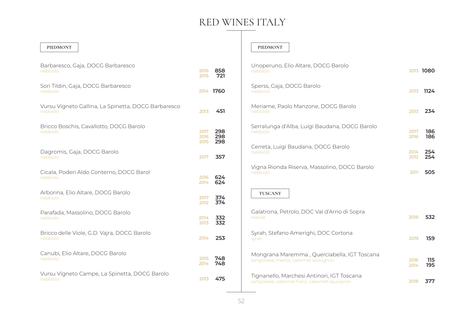#### **PIEDMONT**

| Barbaresco, Gaja, DOCG Barbaresco<br>nebbiolo                   | 2016<br>2015         | 858<br>721        |
|-----------------------------------------------------------------|----------------------|-------------------|
| Sori Tildin, Gaja, DOCG Barbaresco<br>nebbiolo                  |                      | 2014 1760         |
| Vursu Vigneto Gallina, La Spinetta, DOCG Barbaresco<br>nebbiolo | 2013                 | 451               |
| Bricco Boschis, Cavallotto, DOCG Barolo<br>nebbiolo             | 2017<br>2016<br>2015 | 298<br>298<br>298 |
| Dagromis, Gaja, DOCG Barolo<br>nebbiolo                         | 2017                 | 357               |
| Cicala, Poderi Aldo Conterno, DOCG Barol<br>nebbiolo            | 2016<br>2014         | 624<br>624        |
| Arborina, Elio Altare, DOCG Barolo<br>nebbiolo                  | 2017<br>2012         | 374<br>374        |
| Parafada, Massolino, DOCG Barolo<br>nebbiolo                    | 2014<br>2013         | 332<br>332        |
| Bricco delle Viole, G.D. Vajra, DOCG Barolo<br>nebbiolo         | 2014                 | 253               |
| Canubi, Elio Altare, DOCG Barolo<br>nebbiolo                    | 2015<br>2014         | 748<br>748        |
| Vursu Vigneto Campe, La Spinetta, DOCG Barolo<br>nebbiolo       | 2013                 | 475               |

#### **PIEDMONT**

| Unoperuno, Elio Altare, DOCG Barolo<br>nebbiolo                                              |              | 2013 1080  |
|----------------------------------------------------------------------------------------------|--------------|------------|
| Sperss, Gaja, DOCG Barolo<br>nebbiolo                                                        | 2013         | 1124       |
| Meriame, Paolo Manzone, DOCG Barolo<br>nebbiolo                                              | 2013         | 234        |
| Serralunga d'Alba, Luigi Baudana, DOCG Barolo<br>nebbiolo                                    | 2017<br>2016 | 186<br>186 |
| Cerreta, Luigi Baudana, DOCG Barolo<br>nebbiolo                                              | 2014<br>2012 | 254<br>254 |
| Vigna Rionda Riserva, Massolino, DOCG Barolo<br>nebbiolo                                     | 2011         | 505        |
| <b>TUSCANY</b>                                                                               |              |            |
| Galatrona, Petrolo, DOC Val d'Arno di Sopra<br>merlot                                        | 2018         | 532        |
| Syrah, Stefano Amerighi, DOC Cortona<br>syrah                                                | 2019         | 159        |
| Mongrana Maremma, Querciabella, IGT Toscana<br>sangiovese, merlot, cabernet sauvignon        | 2016<br>2014 | 115<br>195 |
| Tignanello, Marchesi Antinori, IGT Toscana<br>sangiovese, cabernet franc, cabernet sauvignon | 2018         | 377        |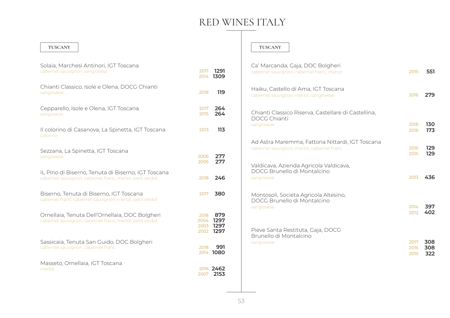**264 264** 

#### **TUSCANY**

| Solaia, Marchesi Antinori, IGT Toscana<br>cabernet sauvignon, sangiovese                                       | 2017<br>2014                 | 1291<br>1309                |
|----------------------------------------------------------------------------------------------------------------|------------------------------|-----------------------------|
| Chianti Classico, Isole e Olena, DOCG Chianti<br>sangiovese                                                    | 2018                         | 119                         |
| Cepparello, Isole e Olena, IGT Toscana<br>sangiovese                                                           | 2017<br>2015                 | 264<br>264                  |
| Il colorino di Casanova, La Spinetta, IGT Toscana<br>colorino                                                  | 2013                         | 113                         |
| Sezzana, La Spinetta, IGT Toscana<br>sangiovese                                                                | 2006<br>2005                 | 277<br>277                  |
| IL Pino di Biserno, Tenuta di Biserno, IGT Toscana<br>cabernet sauvignon, cabernet franc, merlot, petit verdot | 2018                         | 246                         |
| Biserno, Tenuta di Biserno, IGT Toscana<br>cabernet franc, cabernet sauvignon, merlot, petit verdot            | 2017                         | 380                         |
| Ornellaia, Tenuta Dell'Ornellaia, DOC Bolgheri<br>cabernet sauvignon, cabernet franc, merlot, petit verdot     | 2018<br>2004<br>2003<br>2002 | 879<br>1297<br>1297<br>1297 |
| Sassicaia, Tenuta San Guido, DOC Bolgheri<br>cabernet sauvignon, cabernet franc                                | 2018                         | 991<br>2014 1080            |
| Masseto, Ornellaia, IGT Toscana<br>merlot                                                                      |                              | 2016 2462<br>2007 2153      |

#### **TUSCANY**

| Ca' Marcanda, Gaja, DOC Bolgheri<br>cabernet sauvignon, cabernet franc, merlot                 | 2015                 | 551               |
|------------------------------------------------------------------------------------------------|----------------------|-------------------|
| Haiku, Castello di Ama, IGT Toscana<br>cabernet sauvignon, merlot, sangiovese                  | 2016                 | 279               |
| Chianti Classico Riserva, Castellare di Castellina,<br><b>DOCG Chianti</b><br>sangiovese       | 2018<br>2016         | 130<br>173        |
| Ad Astra Maremma, Fattoria Nittardi, IGT Toscana<br>cabernet sauvignon, merlot, cabernet franc | 2016<br>2015         | 129<br>129        |
| Valdicava, Azienda Agricola Valdicava,<br>DOCG Brunello di Montalcino<br>sangiovese            | 2013                 | 436               |
| Montosoli, Societa Agricola Altesino,<br>DOCG Brunello di Montalcino<br>sangiovese             | 2014<br>2012         | 397<br>402        |
| Pieve Santa Restituta, Gaja, DOCG<br>Brunello di Montalcino<br>sangiovese                      | 2017<br>2016<br>2015 | 308<br>308<br>322 |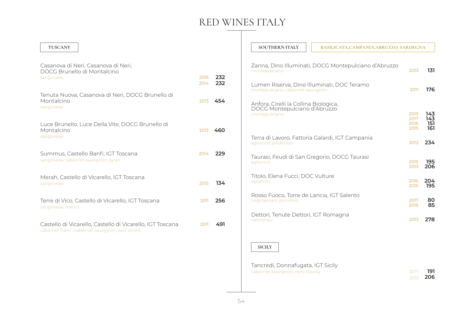| <b>TUSCANY</b>                                                                                                                       |              |            | <b>SOUTHERN ITALY</b>                                                                            | BASILICATA, CAMPANIA, ABRUZZO, SARDEGNA              |                      |                   |
|--------------------------------------------------------------------------------------------------------------------------------------|--------------|------------|--------------------------------------------------------------------------------------------------|------------------------------------------------------|----------------------|-------------------|
| Casanova di Neri, Casanova di Neri,<br>DOCG Brunello di Montalcino<br>sangiovese<br>Tenuta Nuova, Casanova di Neri, DOCG Brunello di | 2016<br>2014 | 232<br>232 | montepulciano<br>Lumen Riserva, Dino Illuminati, DOC Teramo<br>montepulciano, cabernet sauvignon | Zanna, Dino Illuminati, DOCG Montepulciano d'Abruzzo | 2013<br>2011         | 131<br>176        |
| Montalcino<br>sangiovese                                                                                                             | 2013         | 454        | Anfora, Cirelli la Collina Biologica,<br>DOCG Montepulciano d'Abruzzo<br>montepulciano           |                                                      | 2019<br>2017         | 143<br>143        |
| Luce Brunello, Luce Della Vite, DOCG Brunello di<br>Montalcino<br>sangiovese                                                         | 2013         | 460        | aglianico, piedirosso                                                                            | Terra di Lavoro, Fattoria Galardi, IGT Campania      | 2016<br>2015<br>2012 | 151<br>161<br>234 |
| Summus, Castello Banfi, IGT Toscana<br>sangiovese, cabernet sauvignon, syrah                                                         | 2014         | 229        | Taurasi, Feudi di San Gregorio, DOCG Taurasi<br>aglianico                                        |                                                      | 2015<br>2013         | 195<br>206        |
| Merah, Castello di Vicarello, IGT Toscana<br>sangiovese                                                                              | 2015         | 134        | Titolo, Elena Fucci, DOC Vulture<br>aglianico                                                    |                                                      | 2016<br>2015         | 204<br>195        |
| Terre di Vico, Castello di Vicarello, IGT Toscana<br>sangiovese, merlot                                                              | 2011         | 256        | Rosso Fuoco, Torre de Lancia, IGT Salento<br>negroamaro, primitivo                               |                                                      | 2017<br>2016         | 80<br>85          |
| Castello di Vicarello, Castello di Vicarello, IGT Toscana<br>cabernet franc, cabernet sauvignon, peit verdot                         | 2011         | 491        | Dettori, Tenute Dettori, IGT Romagna<br>cannonau                                                 |                                                      | 2013                 | 278               |
|                                                                                                                                      |              |            | <b>SICILY</b>                                                                                    |                                                      |                      |                   |

Tancredi, Donnafugata, IGT Sicily cabernet sauvignon, nero d'avola

**191 206** 2013 2017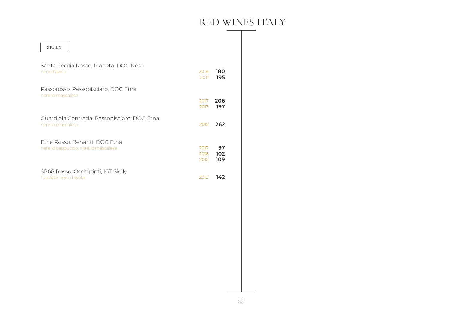| <b>SICILY</b>                                                         |                      |                  |
|-----------------------------------------------------------------------|----------------------|------------------|
| Santa Cecilia Rosso, Planeta, DOC Noto<br>nero d'avola                | 2014<br>2011         | 180<br>195       |
| Passorosso, Passopisciaro, DOC Etna<br>nerello mascalese              |                      |                  |
|                                                                       | 2017<br>2013         | 206<br>197       |
| Guardiola Contrada, Passopisciaro, DOC Etna<br>nerello mascalese      | 2015                 | 262              |
| Etna Rosso, Benanti, DOC Etna<br>nerello cappuccio, nerello mascalese | 2017<br>2016<br>2015 | 97<br>102<br>109 |
| SP68 Rosso, Occhipinti, IGT Sicily<br>frapatto, nero d'avola          | 2019                 | 142              |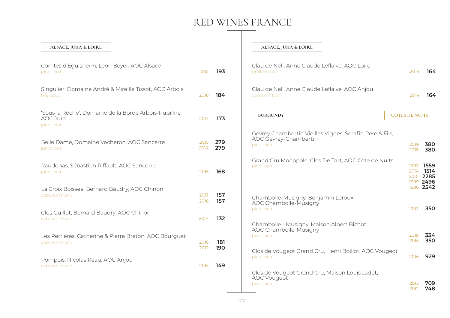$\overline{\phantom{a}}$ 

| ALSACE, JURA & LOIRE                                                            |              |            | ALSACE, JURA & LOIRE                                                                           |                       |                      |
|---------------------------------------------------------------------------------|--------------|------------|------------------------------------------------------------------------------------------------|-----------------------|----------------------|
| Comtes d'Eguisheim, Leon Beyer, AOC Alsace<br>pinot noir                        | 2015         | 193        | Clau de Nell, Anne Claude Leflaive, AOC Loire<br>grolleau noir                                 | 2014                  | 164                  |
| Singulier, Domaine André & Mireille Tissot, AOC Arbois<br>trousseau             | 2016         | 184        | Clau de Nell, Anne Claude Leflaive, AOC Anjou<br>cabernet franc                                | 2014                  | 164                  |
| 'Sous la Roche', Domaine de la Borde Arbois-Pupillin,<br>AOC Jura<br>pinot noir | 2017         | 173        | <b>BURGUNDY</b>                                                                                | <b>COTES DE NUITS</b> |                      |
| Belle Dame, Domaine Vacheron, AOC Sancerre<br>pinot noir                        | 2015<br>2014 | 279<br>279 | Gevrey Chambertin Vieilles Vignes, Serafin Pere & Fils,<br>AOC Gevrey-Chambertin<br>pinot noir | 2019<br>2018          | 380<br>380           |
| Raudonas, Sébastien Riffault, AOC Sancerre<br>pinot noir                        | 2015         | 168        | Grand Cru Monopole, Clos De Tart, AOC Côte de Nuits<br>pinot noir                              | 2017<br>2014<br>2001  | 1559<br>1514<br>2285 |
| La Croix Boissee, Bernard Baudry, AOC Chinon<br>cabernet franc                  | 2017<br>2016 | 157<br>157 | Chambolle-Musigny, Benjamin Leroux,<br>AOC Chambolle-Musigny                                   | 1999<br>1996 2542     | 2496                 |
| Clos Guillot, Bernard Baudry, AOC Chinon<br>cabernet franc                      | 2014         | 132        | pinot noir<br>Chambolle - Musigny, Maison Albert Bichot,                                       | 2017                  | 350                  |
| Les Perrières, Catherine & Pierre Breton, AOC Bourgueil<br>cabernet franc       | 2016<br>2012 | 181<br>190 | AOC Chambolle-Musigny<br>pinot noir                                                            | 2018<br>2015          | 334<br>350           |
| Pompois, Nicolas Reau, AOC Anjou<br>cabernet franc                              | 2015         | 149        | Clos de Vougeot Grand Cru, Henri Boillot, AOC Vougeot<br>pinot noir                            | 2016                  | 929                  |
|                                                                                 |              |            | Clos de Vougeot Grand Cru, Maison Louis Jadot,<br><b>AOC</b> Vougeot<br>pinot noir             | 2013<br>2012          | 709<br>748           |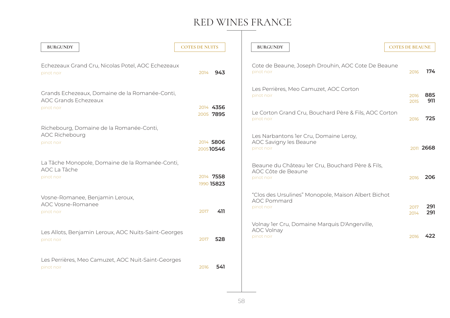### RED WINES FRANCE  $\overline{\phantom{a}}$

| <b>BURGUNDY</b>                                                                 | <b>COTES DE NUITS</b>   | <b>BURGUNDY</b>                                                                         | <b>COTES DE BEAUNE</b> |            |
|---------------------------------------------------------------------------------|-------------------------|-----------------------------------------------------------------------------------------|------------------------|------------|
| Echezeaux Grand Cru, Nicolas Potel, AOC Echezeaux<br>pinot noir                 | 943<br>2014             | Cote de Beaune, Joseph Drouhin, AOC Cote De Beaune<br>pinot noir                        | 2016                   | 174        |
| Grands Echezeaux, Domaine de la Romanée-Conti,<br><b>AOC Grands Echezeaux</b>   |                         | Les Perrières, Meo Camuzet, AOC Corton<br>pinot noir                                    | 2016<br>2015           | 885<br>911 |
| pinot noir                                                                      | 2014 4356<br>2005 7895  | Le Corton Grand Cru, Bouchard Père & Fils, AOC Corton<br>pinot noir                     | 2016                   | 725        |
| Richebourg, Domaine de la Romanée-Conti,<br><b>AOC Richebourg</b><br>pinot noir | 2014 5806<br>200510546  | Les Narbantons ler Cru, Domaine Leroy,<br>AOC Savigny les Beaune<br>pinot noir          |                        | 2011 2668  |
| La Tâche Monopole, Domaine de la Romanée-Conti,<br>AOC La Tâche<br>pinot noir   | 2014 7558<br>1990 15823 | Beaune du Château ler Cru, Bouchard Père & Fils,<br>AOC Côte de Beaune<br>pinot noir    | 2016                   | 206        |
| Vosne-Romanee, Benjamin Leroux,<br>AOC Vosne-Romanee<br>pinot noir              | 2017<br>411             | "Clos des Ursulines" Monopole, Maison Albert Bichot<br><b>AOC Pommard</b><br>pinot noir | 2017<br>2014           | 291<br>291 |
| Les Allots, Benjamin Leroux, AOC Nuits-Saint-Georges<br>pinot noir              | 528<br>2017             | Volnay 1er Cru, Domaine Marquis D'Angerville,<br>AOC Volnay<br>pinot noir               | 2016                   | 422        |
| Les Perrières, Meo Camuzet, AOC Nuit-Saint-Georges<br>pinot noir                | 541<br>2016             |                                                                                         |                        |            |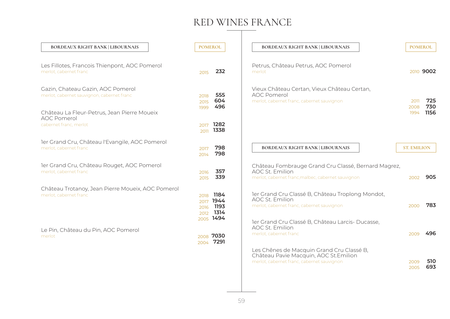| <b>BORDEAUX RIGHT BANK   LIBOURNAIS</b>                                                                                                                                        | <b>POMEROL</b>                                                            | <b>BORDEAUX RIGHT BANK   LIBOURNAIS</b>                                                                                                                                      | <b>POMEROL</b>       |                    |
|--------------------------------------------------------------------------------------------------------------------------------------------------------------------------------|---------------------------------------------------------------------------|------------------------------------------------------------------------------------------------------------------------------------------------------------------------------|----------------------|--------------------|
| Les Fillotes, Francois Thienpont, AOC Pomerol<br>merlot, cabernet franc                                                                                                        | 2015                                                                      | Petrus, Château Petrus, AOC Pomerol<br>232<br>merlot                                                                                                                         |                      | 2010 9002          |
| Gazin, Chateau Gazin, AOC Pomerol<br>merlot, cabernet sauvignon, cabernet franc<br>Château La Fleur-Petrus, Jean Pierre Moueix<br><b>AOC Pomerol</b><br>cabernet franc, merlot | 555<br>2018<br>604<br>2015<br>496<br>1999<br>1282<br>2017<br>1338<br>2011 | Vieux Château Certan, Vieux Château Certan,<br><b>AOC Pomerol</b><br>merlot, cabernet franc, cabernet sauvignon                                                              | 2011<br>2008<br>1994 | 725<br>730<br>1156 |
| ler Grand Cru, Château l'Evangile, AOC Pomerol<br>merlot, cabernet franc                                                                                                       | 798<br>2017<br>798<br>2014                                                | <b>BORDEAUX RIGHT BANK   LIBOURNAIS</b>                                                                                                                                      | <b>ST. EMILION</b>   |                    |
| ler Grand Cru, Château Rouget, AOC Pomerol<br>merlot, cabernet franc                                                                                                           | 357<br>2016<br>339<br>2015                                                | Château Fombrauge Grand Cru Classé, Bernard Magrez,<br>AOC St. Emilion<br>merlot, cabernet franc, malbec, cabernet sauvignon                                                 | 2002                 | 905                |
| Château Trotanoy, Jean Pierre Moueix, AOC Pomerol<br>merlot, cabernet franc                                                                                                    | 1184<br>2018<br>1944<br>2017<br>1193<br>2016<br>1314<br>2012<br>2005 1494 | ler Grand Cru Classé B, Château Troplong Mondot,<br><b>AOC St. Emilion</b><br>merlot, cabernet franc, cabernet sauvignon<br>ler Grand Cru Classé B, Château Larcis- Ducasse, | 2000                 | 783                |
| Le Pin, Château du Pin, AOC Pomerol<br>merlot                                                                                                                                  | 7030<br>2008<br>7291<br>2004                                              | AOC St. Emilion<br>merlot, cabernet franc                                                                                                                                    | 2009                 | 496                |
|                                                                                                                                                                                |                                                                           | Les Chênes de Macquin Grand Cru Classé B,<br>Château Pavie Macquin, AOC St. Emilion<br>merlot, cabernet franc, cabernet sauvignon                                            | 2009<br>2005         | 510<br>693         |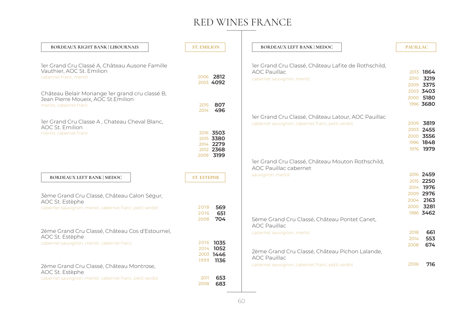$PAUILL AC$ 

> 

**716**

 

| <b>BORDEAUX RIGHT BANK   LIBOURNAIS</b>                                                                         | <b>ST. EMILION</b>                                            | <b>BORDEAUX LEFT BANK   MEDOC</b>                                                                        |
|-----------------------------------------------------------------------------------------------------------------|---------------------------------------------------------------|----------------------------------------------------------------------------------------------------------|
| ler Grand Cru Classé A, Château Ausone Famille<br>Vauthier, AOC St. Emilion<br>cabernet franc. merlot           | 2006 2812<br>2003 4092                                        | ler Grand Cru Classé, Château Lafite de Rothschild,<br><b>AOC Pauillac</b><br>cabernet sauvignon, merlot |
| Château Belair Monange ler grand cru classé B,<br>Jean Pierre Moueix, AOC St. Emilion<br>merlot, cabernet franc | 807<br>2015<br>496<br>2014                                    |                                                                                                          |
| ler Grand Cru Classe A, Chateau Cheval Blanc,<br>AOC St. Emilion                                                |                                                               | ler Grand Cru Classé, Château Latour, AOC Pauillac<br>cabernet sauvignon, cabernet franc, petit verdot   |
| merlot, cabernet franc                                                                                          | 2016 3503<br>2015 3380<br>2014 2279<br>2012 2368<br>2009 3199 |                                                                                                          |
|                                                                                                                 |                                                               | ler Grand Cru Classé, Château Mouton Rothschild,<br>AOC Pauillac cabernet                                |
| <b>BORDEAUX LEFT BANK   MEDOC</b>                                                                               | <b>ST. ESTEPHE</b>                                            | sauvignon, merlot                                                                                        |
| 3ème Grand Cru Classé, Château Calon Ségur,<br>AOC St. Estèphe                                                  |                                                               |                                                                                                          |
| cabernet sauvignon, merlot, cabernet franc, petit verdot                                                        | 569<br>2018<br>651<br>2016                                    |                                                                                                          |
| 2ème Grand Cru Classé, Château Cos d'Estournel,                                                                 | 704<br>2008                                                   | 5ème Grand Cru Classé, Château Pontet Canet,<br><b>AOC Pauillac</b>                                      |
| AOC St. Estèphe                                                                                                 |                                                               | cabernet sauvignon, merlot                                                                               |
| cabernet sauvignon, merlot, cabernet franc                                                                      | 2016 1035<br>2014 1052<br>2003 1446<br>1136<br>1999           | 2ème Grand Cru Classé, Château Pichon Lalande,<br><b>AOC Pauillac</b>                                    |
| 2ème Grand Cru Classé, Château Montrose,<br>AOC St. Estèphe                                                     |                                                               | cabernet sauvignon, cabernet franc, petit verdot                                                         |
| cabernet sauvignon, merlot, cabernet franc, petit verdot                                                        | 653<br>2011<br>683<br>2008                                    |                                                                                                          |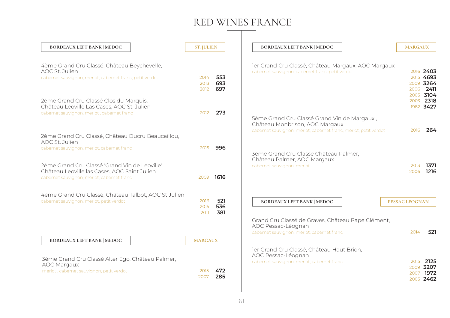| <b>BORDEAUX LEFT BANK   MEDOC</b>                                                                                                                                                          | <b>ST. JULIEN</b>    |                   | <b>BORDEAUX LEFT BANK   MEDOC</b>                                                                             | <b>MARGAUX</b>        |                                                  |
|--------------------------------------------------------------------------------------------------------------------------------------------------------------------------------------------|----------------------|-------------------|---------------------------------------------------------------------------------------------------------------|-----------------------|--------------------------------------------------|
| 4ème Grand Cru Classé, Château Beychevelle,<br>AOC St. Julien<br>cabernet sauvignon, merlot, cabernet franc, petit verdot                                                                  | 2014<br>2013<br>2012 | 553<br>693<br>697 | ler Grand Cru Classé, Château Margaux, AOC Margaux<br>cabernet sauvignon, cabernet franc, petit verdot        |                       | 2016 2403<br>2015 4693<br>2009 3264<br>2006 2411 |
| 2ème Grand Cru Classé Clos du Marquis,<br>Château Leoville Las Cases, AOC St. Julien<br>cabernet sauvignon, merlot, cabernet franc                                                         | 2012                 | 273               | 5ème Grand Cru Classé Grand Vin de Margaux,<br>Château Monbrison, AOC Margaux                                 | 2003                  | 2005 3104<br>2318<br>1982 3427                   |
| 2ème Grand Cru Classé, Château Ducru Beaucaillou,<br>AOC St. Julien                                                                                                                        |                      |                   | cabernet sauvignon, merlot, cabernet franc, merlot, petit verdot                                              | 2016                  | 264                                              |
| cabernet sauvignon, merlot, cabernet franc<br>2ème Grand Cru Classé 'Grand Vin de Leoville',<br>Château Leoville las Cases, AOC Saint Julien<br>cabernet sauvignon, merlot, cabernet franc | 2015<br>2009         | 996<br>1616       | 3ème Grand Cru Classé Château Palmer,<br>Château Palmer, AOC Margaux<br>cabernet sauvignon, merlot            | 2013<br>2006          | 1371<br>1216                                     |
| 4ème Grand Cru Classé, Château Talbot, AOC St Julien<br>cabernet sauvignon, merlot, petit verdot                                                                                           | 2016<br>2015<br>2011 | 521<br>536<br>381 | <b>BORDEAUX LEFT BANK   MEDOC</b><br>Grand Cru Classé de Graves, Château Pape Clément,<br>AOC Pessac-Léognan  | <b>PESSAC LEOGNAN</b> |                                                  |
| <b>BORDEAUX LEFT BANK   MEDOC</b>                                                                                                                                                          | <b>MARGAUX</b>       |                   | cabernet sauvignon, merlot, cabernet franc                                                                    | 2014                  | 521                                              |
| 3ème Grand Cru Classé Alter Ego, Château Palmer,<br><b>AOC Margaux</b><br>merlot, cabernet sauvignon, petit verdot                                                                         | 2015<br>2007         | 472<br>285        | ler Grand Cru Classé, Château Haut Brion,<br>AOC Pessac-Léognan<br>cabernet sauvignon, merlot, cabernet franc | 2015<br>2009<br>2007  | 2125<br>3207<br>1972<br>2005 2462                |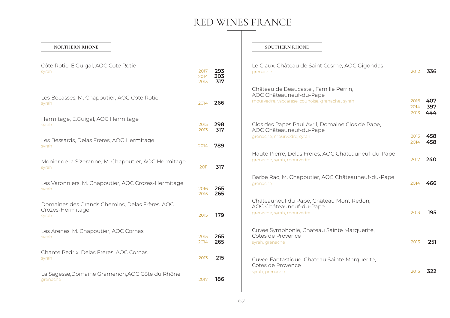#### **NORTHERN RHONE**

| Côte Rotie, E.Guigal, AOC Cote Rotie<br>syrah                               | 2017<br>2014<br>2013 | 293<br>303<br>317 |
|-----------------------------------------------------------------------------|----------------------|-------------------|
| Les Becasses, M. Chapoutier, AOC Cote Rotie<br>syrah                        | 2014                 | 266               |
| Hermitage, E.Guigal, AOC Hermitage<br>syrah                                 | 2015<br>2013         | 298<br>317        |
| Les Bessards, Delas Freres, AOC Hermitage<br>syrah                          | 2014                 | 789               |
| Monier de la Sizeranne, M. Chapoutier, AOC Hermitage<br>syrah               | 2011                 | 317               |
| Les Varonniers, M. Chapoutier, AOC Crozes-Hermitage<br>syrah                | 2016<br>2015         | 265<br>265        |
| Domaines des Grands Chemins, Delas Frères, AOC<br>Crozes-Hermitage<br>syrah | 2015                 | 179               |
| Les Arenes, M. Chapoutier, AOC Cornas<br>syrah                              | 2015<br>2014         | 265<br>265        |
| Chante Pedrix, Delas Freres, AOC Cornas<br>syrah                            | 2013                 | 215               |
| La Sagesse, Domaine Gramenon, AOC Côte du Rhône<br>grenache                 | 2017                 | 186               |

#### **SOUTHERN RHONE**

| Le Claux, Château de Saint Cosme, AOC Gigondas<br>grenache                                                            | 2012                 | 336               |
|-----------------------------------------------------------------------------------------------------------------------|----------------------|-------------------|
| Château de Beaucastel, Famille Perrin,<br>AOC Châteauneuf-du-Pape<br>mourvedre, vaccarese, counoise, grenache,, syrah | 2016<br>2014<br>2013 | 407<br>397<br>444 |
| Clos des Papes Paul Avril, Domaine Clos de Pape,<br>AOC Châteauneuf-du-Pape<br>grenache, mourvedre, syrah             | 2015<br>2014         | 458<br>458        |
| Haute Pierre, Delas Freres, AOC Châteauneuf-du-Pape<br>grenache, syrah, mourvedre                                     | 2017                 | 240               |
| Barbe Rac, M. Chapoutier, AOC Châteauneuf-du-Pape<br>grenache                                                         | 2014                 | 466               |
| Châteauneuf du Pape, Château Mont Redon,<br>AOC Châteauneuf-du-Pape<br>grenache, syrah, mourvedre                     | 2013                 | 195               |
| Cuvee Symphonie, Chateau Sainte Marquerite,<br>Cotes de Provence<br>syrah, grenache                                   | 2015                 | 251               |
| Cuvee Fantastique, Chateau Sainte Marquerite,<br>Cotes de Provence<br>syrah, grenache                                 | 2015                 | 322               |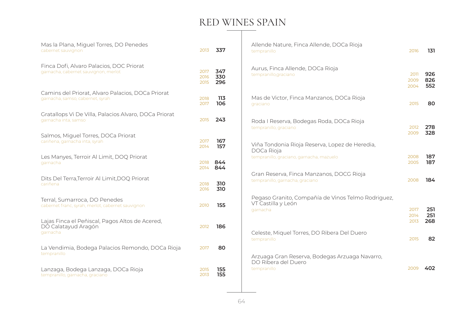### RED WINES SPAIN

| Mas la Plana, Miguel Torres, DO Penedes<br>cabernet sauvignon                         | 2013                 | 337               | Allende Nature, Finca Allende, DOCa Rioja<br>tempranillo                             | 2016                 | 131               |
|---------------------------------------------------------------------------------------|----------------------|-------------------|--------------------------------------------------------------------------------------|----------------------|-------------------|
| Finca Dofi, Alvaro Palacios, DOC Priorat<br>garnacha, cabernet sauvignon, merlot      | 2017<br>2016<br>2015 | 347<br>330<br>296 | Aurus, Finca Allende, DOCa Rioja<br>tempranillo, graciano                            | 2011<br>2009<br>2004 | 926<br>826<br>552 |
| Camins del Priorat, Alvaro Palacios, DOCa Priorat<br>garnacha, samso, cabernet, syrah | 2018<br>2017         | 113<br>106        | Mas de Victor, Finca Manzanos, DOCa Rioja<br>graciano                                | 2015                 | 80                |
| Gratallops Vi De Villa, Palacios Alvaro, DOCa Priorat<br>garnacha inta, samso         | 2015                 | 243               | Roda I Reserva, Bodegas Roda, DOCa Rioja<br>tempranillo, graciano                    | 2012                 | 278               |
| Salmos, Miguel Torres, DOCa Priorat<br>cariñena, garnacha inta, syrah                 | 2017<br>2014         | 167<br>157        | Viña Tondonia Rioja Reserva, Lopez de Heredia,<br>DOCa Rioja                         | 2009                 | 328               |
| Les Manyes, Terroir Al Limit, DOQ Priorat<br>garnacha                                 | 2018<br>2014         | 844<br>844        | tempranillo, graciano, garnacha, mazuelo                                             | 2008<br>2005         | 187<br>187        |
| Dits Del Terra, Terroir Al Limit, DOQ Priorat<br>cariñena                             | 2018<br>2016         | 310<br>310        | Gran Reserva, Finca Manzanos, DOCG Rioja<br>tempranillo, garnacha, graciano          | 2008                 | 184               |
| Terral, Sumarroca, DO Penedes<br>cabernet franc, syrah, merlot, cabernet sauvignon    | 2010                 | 155               | Pegaso Granito, Compañía de Vinos Telmo Rodriguez,<br>VT Castilla y León<br>garnacha | 2017                 | 251               |
| Lajas Finca el Peñiscal, Pagos Altos de Acered,<br>DO Calatayud Aragón<br>garnacha    | 2012                 | 186               | Celeste, Miquel Torres, DO Ribera Del Duero                                          | 2014<br>2013         | 251<br>268        |
| La Vendimia, Bodega Palacios Remondo, DOCa Rioja<br>tempranillo                       | 2017                 | 80                | tempranillo                                                                          | 2015                 | 82                |
| Lanzaga, Bodega Lanzaga, DOCa Rioja<br>tempranillo, garnacha, graciano                | 2015<br>2013         | 155<br>155        | Arzuaga Gran Reserva, Bodegas Arzuaga Navarro,<br>DO Ribera del Duero<br>tempranillo | 2009                 | 402               |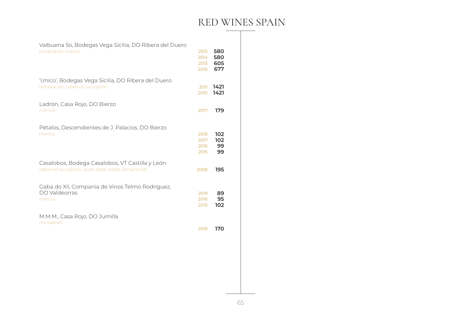### RED WINES SPAIN

 **605**

 

| Valbuena 50, Bodegas Vega Sicilia, DO Ribera del Duero |  |
|--------------------------------------------------------|--|
| tempranillo, merlot                                    |  |

|                                                                                                         | 2010                         | 677                    |
|---------------------------------------------------------------------------------------------------------|------------------------------|------------------------|
| 'Unico', Bodegas Vega Sicilia, DO Ribera del Duero<br>tempranillo, cabernet sauvignon                   | 2011<br>2010                 | 1421<br>1421           |
| Ladrón, Casa Rojo, DO Bierzo<br>mencia                                                                  | 2017                         | 179                    |
| Pétalos, Descendientes de J. Palacios, DO Bierzo<br>mencia                                              | 2019<br>2017<br>2016<br>2015 | 102<br>102<br>99<br>99 |
| Casalobos, Bodega Casalobos, VT Castilla y León<br>cabernet sauvignon, syrah, petit verdot, tempranillo | 2008                         | 195                    |
| Gaba do Xil, Compania de Vinos Telmo Rodriguez,<br>DO Valdeorras<br>mencia                              | 2019<br>2016<br>2015         | 89<br>95<br>102        |
| M.M.M., Casa Rojo, DO Jumilla<br>monastrell                                                             | 2019                         | 170                    |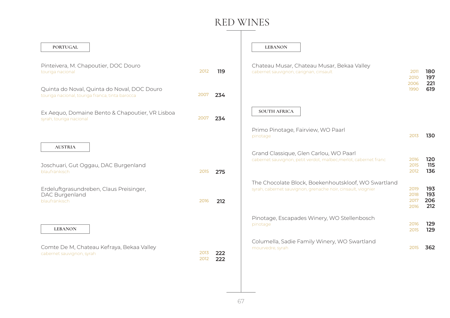| <b>PORTUGAL</b>                                                                                |              |            | <b>LEBANON</b>                                                                                                      |                              |                          |
|------------------------------------------------------------------------------------------------|--------------|------------|---------------------------------------------------------------------------------------------------------------------|------------------------------|--------------------------|
| Pinteivera, M. Chapoutier, DOC Douro<br>touriga nacional                                       | 2012         | 119        | Chateau Musar, Chateau Musar, Bekaa Valley<br>cabernet sauvignon, carignan, cinsault                                | 2011<br>2010                 | 180<br>197               |
| Quinta do Noval, Quinta do Noval, DOC Douro<br>touriga nacional, touriga franca, tinta barocca | 2007         | 234        |                                                                                                                     | 2006<br>1990                 | 221<br>619               |
| Ex Aequo, Domaine Bento & Chapoutier, VR Lisboa<br>syrah, touriga nacional                     | 2007         | 234        | <b>SOUTH AFRICA</b>                                                                                                 |                              |                          |
|                                                                                                |              |            | Primo Pinotage, Fairview, WO Paarl<br>pinotage                                                                      | 2013                         | 130                      |
| <b>AUSTRIA</b><br>Joschuari, Gut Oggau, DAC Burgenland<br>blaufränkisch                        | 2015         | 275        | Grand Classique, Glen Carlou, WO Paarl<br>cabernet sauvignon, petit verdot, malbec, merlot, cabernet franc          | 2016<br>2015<br>2012         | 120<br>115<br>136        |
| Erdeluftgrasundreben, Claus Preisinger,<br>DAC Burgenland<br>blaufränkisch                     | 2016         | 212        | The Chocolate Block, Boekenhoutskloof, WO Swartland<br>syrah, cabernet sauvignon, grenache noir, cinsault, viognier | 2019<br>2018<br>2017<br>2016 | 193<br>193<br>206<br>212 |
| <b>LEBANON</b>                                                                                 |              |            | Pinotage, Escapades Winery, WO Stellenbosch<br>pinotage                                                             | 2016<br>2015                 | 129<br>129               |
| Comte De M, Chateau Kefraya, Bekaa Valley<br>cabernet sauvignon, syrah                         | 2013<br>2012 | 222<br>222 | Columella, Sadie Family Winery, WO Swartland<br>mourvedre, syrah                                                    | 2015                         | 362                      |
|                                                                                                |              |            |                                                                                                                     |                              |                          |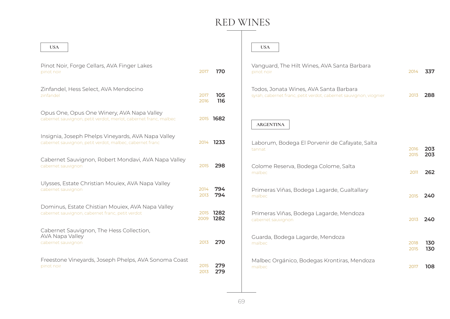| <b>USA</b>                                                                                                     |              |                   | <b>USA</b>                                                                                                  |              |            |
|----------------------------------------------------------------------------------------------------------------|--------------|-------------------|-------------------------------------------------------------------------------------------------------------|--------------|------------|
| Pinot Noir, Forge Cellars, AVA Finger Lakes<br>pinot noir                                                      | 2017         | 170               | Vanguard, The Hilt Wines, AVA Santa Barbara<br>pinot noir                                                   | 2014         | 337        |
| Zinfandel, Hess Select, AVA Mendocino<br>zinfandel                                                             | 2017<br>2016 | 105<br>116        | Todos, Jonata Wines, AVA Santa Barbara<br>syrah, cabernet franc, petit verdot, cabernet sauvignon, viognier | 2013         | 288        |
| Opus One, Opus One Winery, AVA Napa Valley<br>cabernet sauvignon, petit verdot, merlot, cabernet franc, malbec |              | 2015 1682         | <b>ARGENTINA</b>                                                                                            |              |            |
| Insignia, Joseph Phelps Vineyards, AVA Napa Valley<br>cabernet sauvignon, petit verdot, malbec, cabernet franc |              | 2014 1233         | Laborum, Bodega El Porvenir de Cafayate, Salta<br>tannat                                                    | 2016<br>2015 | 203<br>203 |
| Cabernet Sauvignon, Robert Mondavi, AVA Napa Valley<br>cabernet sauvignon                                      | 2015         | 298               | Colome Reserva, Bodega Colome, Salta<br>malbec                                                              | 2011         | 262        |
| Ulysses, Estate Christian Mouiex, AVA Napa Valley<br>cabernet sauvignon                                        | 2014<br>2013 | 794<br>794        | Primeras Viñas, Bodega Lagarde, Gualtallary<br>malbec                                                       | 2015         | 240        |
| Dominus, Estate Chistian Mouiex, AVA Napa Valley<br>cabernet sauvignon, cabernet franc, petit verdot           | 2009         | 2015 1282<br>1282 | Primeras Viñas, Bodega Lagarde, Mendoza<br>cabernet sauvignon                                               | 2013         | 240        |
| Cabernet Sauvignon, The Hess Collection,<br>AVA Napa Valley<br>cabernet sauvignon                              | 2013         | 270               | Guarda, Bodega Lagarde, Mendoza<br>malbec                                                                   | 2018<br>2015 | 130<br>130 |
| Freestone Vineyards, Joseph Phelps, AVA Sonoma Coast<br>pinot noir                                             | 2015<br>2013 | 279<br>279        | Malbec Orgánico, Bodegas Krontiras, Mendoza<br>malbec                                                       | 2017         | 108        |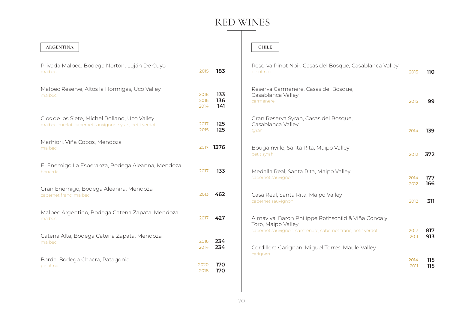#### **ARGENTINA**

| Privada Malbec, Bodega Norton, Luján De Cuyo<br>malbec                                                   | 2015                 | 183               |
|----------------------------------------------------------------------------------------------------------|----------------------|-------------------|
| Malbec Reserve, Altos la Hormigas, Uco Valley<br>malbec                                                  | 2018<br>2016<br>2014 | 133<br>136<br>141 |
| Clos de los Siete, Michel Rolland, Uco Valley<br>malbec, merlot, cabernet sauvignon, syrah, petit verdot | 2017<br>2015         | 125<br>125        |
| Marhiori, Viña Cobos, Mendoza<br>malbec                                                                  | 2017                 | 1376              |
| El Enemigo La Esperanza, Bodega Aleanna, Mendoza<br>bonarda                                              | 2017                 | 133               |
| Gran Enemigo, Bodega Aleanna, Mendoza<br>cabernet franc, malbec                                          | 2013                 | 462               |
| Malbec Argentino, Bodega Catena Zapata, Mendoza<br>malbec                                                | 2017                 | 427               |
| Catena Alta, Bodega Catena Zapata, Mendoza<br>malbec                                                     | 2016<br>2014         | 234<br>234        |
| Barda, Bodega Chacra, Patagonia<br>pinot noir                                                            | 2020<br>2018         | 170<br>170        |

#### **CHILE**

| Reserva Pinot Noir, Casas del Bosque, Casablanca Valley<br>pinot noir                                                                   | 2015         | <b>110</b> |
|-----------------------------------------------------------------------------------------------------------------------------------------|--------------|------------|
| Reserva Carmenere, Casas del Bosque,<br>Casablanca Valley<br>carmenere                                                                  | 2015         | 99         |
| Gran Reserva Syrah, Casas del Bosque,<br>Casablanca Valley<br>syrah                                                                     | 2014         | 139        |
| Bougainville, Santa Rita, Maipo Valley<br>petit syrah                                                                                   | 2012         | 372        |
| Medalla Real, Santa Rita, Maipo Valley<br>cabernet sauvignon                                                                            | 2014<br>2012 | 177<br>166 |
| Casa Real, Santa Rita, Maipo Valley<br>cabernet sauvignon                                                                               | 2012         | 311        |
| Almaviva, Baron Philippe Rothschild & Viña Conca y<br>Toro, Maipo Valley<br>cabernet sauvignon, carmenère, cabernet franc, petit verdot | 2017<br>2011 | 817<br>913 |
| Cordillera Carignan, Miguel Torres, Maule Valley<br>carignan                                                                            | 2014<br>2011 | 115<br>115 |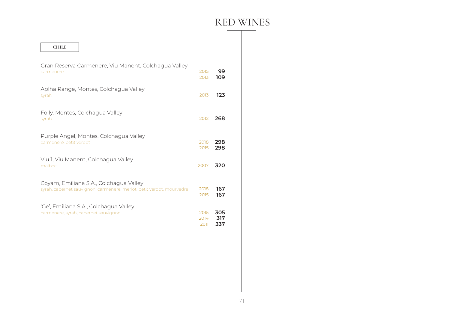| <b>CHILE</b>                                                                                                    |                      |                   |
|-----------------------------------------------------------------------------------------------------------------|----------------------|-------------------|
| Gran Reserva Carmenere, Viu Manent, Colchagua Valley<br>carmenere                                               | 2015<br>2013         | 99<br>109         |
| Aplha Range, Montes, Colchagua Valley<br>syrah                                                                  | 2013                 | 123               |
| Folly, Montes, Colchagua Valley<br>syrah                                                                        | 2012                 | 268               |
| Purple Angel, Montes, Colchagua Valley<br>carmenere, petit verdot                                               | 2018<br>2015         | 298<br>298        |
| Viu 1, Viu Manent, Colchagua Valley<br>malbec                                                                   | 2007                 | 320               |
| Coyam, Emiliana S.A., Colchagua Valley<br>syrah, cabernet sauvignon, carmenere, merlot, petit verdot, mourvedre | 2018<br>2015         | 167<br>167        |
| 'Ge', Emiliana S.A., Colchagua Valley<br>carmenere, syrah, cabernet sauvignon                                   | 2015<br>2014<br>2011 | 305<br>317<br>337 |
|                                                                                                                 |                      |                   |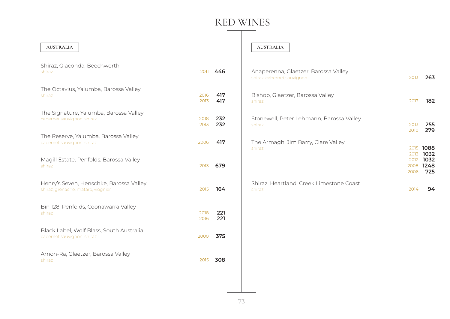#### **AUSTRALIA**

| Shiraz, Giaconda, Beechworth<br>2011<br>shiraz                                        | 446        |
|---------------------------------------------------------------------------------------|------------|
| The Octavius, Yalumba, Barossa Valley<br>2016<br>shiraz<br>2013                       | 417<br>417 |
| The Signature, Yalumba, Barossa Valley<br>2018<br>cabernet sauvignon, shiraz<br>2013  | 232<br>232 |
| The Reserve, Yalumba, Barossa Valley<br>2006<br>cabernet sauvignon, shiraz            | 417        |
| Magill Estate, Penfolds, Barossa Valley<br>2013<br>shiraz                             | 679        |
| Henry's Seven, Henschke, Barossa Valley<br>2015<br>shiraz, grenache, mataro, viognier | 164        |
| Bin 128, Penfolds, Coonawarra Valley<br>2018<br>shiraz<br>2016                        | 221<br>221 |
| Black Label, Wolf Blass, South Australia<br>2000<br>cabernet sauvignon, shiraz        | 375        |
| Amon-Ra, Glaetzer, Barossa Valley<br>2015<br>shiraz                                   | 308        |

#### **AUSTRALIA**

| Anaperenna, Glaetzer, Barossa Valley<br>shiraz, cabernet sauvignon | 2013         | 263                                                |
|--------------------------------------------------------------------|--------------|----------------------------------------------------|
| Bishop, Glaetzer, Barossa Valley<br>shiraz                         | 2013         | 182                                                |
| Stonewell, Peter Lehmann, Barossa Valley<br>shiraz                 | 2013<br>2010 | 255<br>279                                         |
| The Armagh, Jim Barry, Clare Valley<br>shiraz                      | 2013<br>2006 | 2015 1088<br>1032<br>2012 1032<br>2008 1248<br>725 |
| Shiraz, Heartland, Creek Limestone Coast<br>shiraz                 | 2014         | 94                                                 |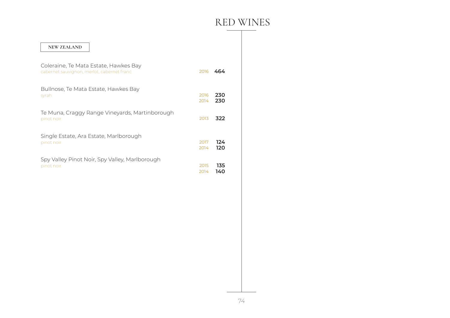| <b>NEW ZEALAND</b>                                                                  |      |     |
|-------------------------------------------------------------------------------------|------|-----|
| Coleraine, Te Mata Estate, Hawkes Bay<br>cabernet sauvignon, merlot, cabernet franc | 2016 | 464 |
| Bullnose, Te Mata Estate, Hawkes Bay                                                | 2016 | 230 |
| syrah                                                                               | 2014 | 230 |
| Te Muna, Craggy Range Vineyards, Martinborough<br>pinot noir                        | 2013 | 322 |
| Single Estate, Ara Estate, Marlborough                                              | 2017 | 124 |
| pinot noir                                                                          | 2014 | 120 |
| Spy Valley Pinot Noir, Spy Valley, Marlborough                                      | 2015 | 135 |
| pinot noir                                                                          | 2014 | 140 |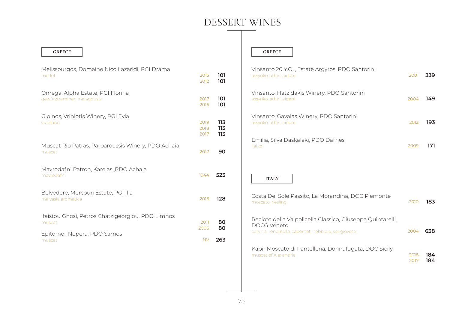### DESSERT WINES

| Melissourgos, Domaine Nico Lazaridi, PGI Drama<br>merlot                                  | 2015<br>2012         |     |
|-------------------------------------------------------------------------------------------|----------------------|-----|
| Omega, Alpha Estate, PGI Florina<br>gewürztraminer, malagousia                            | 2017<br>2016         |     |
| G oinos, Vriniotis Winery, PGI Evia<br>vradiano                                           | 2019<br>2018<br>2017 |     |
| Muscat Rio Patras, Parparoussis Winery, PDO Achaia<br>muscat                              | 2017                 |     |
| Mavrodafni Patron, Karelas, PDO Achaia<br>mavrodafni                                      | 1944                 | 523 |
| Belvedere, Mercouri Estate, PGI Ilia<br>malvasia aromatica                                | 2016                 | 128 |
| Ifaistou Gnosi, Petros Chatzigeorgiou, PDO Limnos<br>muscat<br>Epitome, Nopera, PDO Samos | 2011<br>2006         | 263 |

**GREECE**

#### **GREECE**

| Vinsanto 20 Y.O., Estate Argyros, PDO Santorini<br>assyriko, athiri, aidani                                                      | 2001         | 339        |
|----------------------------------------------------------------------------------------------------------------------------------|--------------|------------|
| Vinsanto, Hatzidakis Winery, PDO Santorini<br>assyriko, athiri, aidani                                                           | 2004         | 149        |
| Vinsanto, Gavalas Winery, PDO Santorini<br>assyriko, athiri, aidani                                                              | 2012         | 193        |
| Emilia, Silva Daskalaki, PDO Dafnes<br>liaiko                                                                                    | 2009         | 171        |
| <b>ITALY</b>                                                                                                                     |              |            |
| Costa Del Sole Passito, La Morandina, DOC Piemonte<br>moscato, riesling                                                          | 2010         | 183        |
| Recioto della Valpolicella Classico, Giuseppe Quintarelli,<br>DOCG Veneto<br>corvina, rondinella, cabernet, nebbiolo, sangiovese | 2004         | 638        |
| Kabir Moscato di Pantelleria, Donnafugata, DOC Sicily<br>muscat of Alexandria                                                    | 2018<br>2017 | 184<br>184 |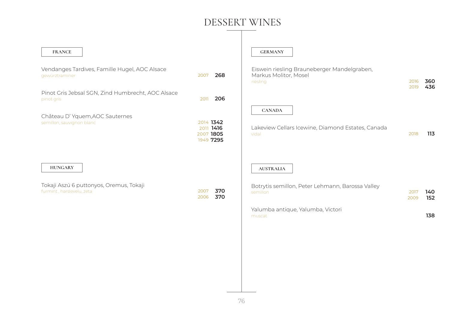### DESSERT WINES

| <b>FRANCE</b>                                                                          |                                                  | <b>GERMANY</b>                                                                                                                  |              |                   |
|----------------------------------------------------------------------------------------|--------------------------------------------------|---------------------------------------------------------------------------------------------------------------------------------|--------------|-------------------|
| Vendanges Tardives, Famille Hugel, AOC Alsace<br>gewürztraminer                        | 268<br>2007                                      | Eiswein riesling Brauneberger Mandelgraben,<br>Markus Molitor, Mosel<br>riesling                                                | 2016<br>2019 | 360<br>436        |
| Pinot Gris Jebsal SGN, Zind Humbrecht, AOC Alsace<br>pinot gris                        | 206<br>2011                                      |                                                                                                                                 |              |                   |
| Château D'Yquem, AOC Sauternes<br>semillon, sauvignon blanc                            | 2014 1342<br>2011 1416<br>2007 1805<br>1949 7295 | <b>CANADA</b><br>Lakeview Cellars Icewine, Diamond Estates, Canada<br>vidal                                                     | 2018         | 113               |
| <b>HUNGARY</b><br>Tokaji Aszú 6 puttonyos, Oremus, Tokaji<br>furmint, harslevelu, zeta | 370<br>2007<br>370<br>2006                       | <b>AUSTRALIA</b><br>Botrytis semillon, Peter Lehmann, Barossa Valley<br>semillon<br>Yalumba antique, Yalumba, Victori<br>muscat | 2017<br>2009 | 140<br>152<br>138 |
|                                                                                        |                                                  |                                                                                                                                 |              |                   |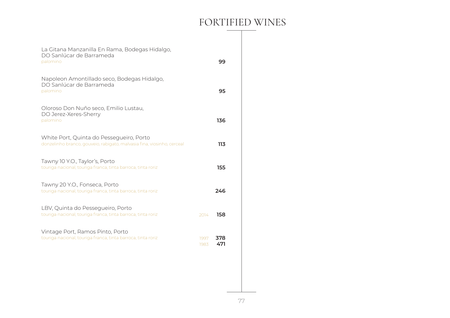### FORTIFIED WINES

| La Gitana Manzanilla En Rama, Bodegas Hidalgo,<br>DO Sanlúcar de Barrameda<br>palomino                             |              | 99         |
|--------------------------------------------------------------------------------------------------------------------|--------------|------------|
| Napoleon Amontillado seco, Bodegas Hidalgo,<br>DO Sanlúcar de Barrameda<br>palomino                                |              | 95         |
| Oloroso Don Nuño seco, Emilio Lustau,<br>DO Jerez-Xeres-Sherry<br>palomino                                         |              | 136        |
| White Port, Quinta do Pessegueiro, Porto<br>donzelinho branco, gouveio, rabigato, malvasia fina, viosinho, cerceal |              | 113        |
| Tawny 10 Y.O., Taylor's, Porto<br>touriga nacional, touriga franca, tinta barroca, tinta roriz                     |              | 155        |
| Tawny 20 Y.O., Fonseca, Porto<br>touriga nacional, touriga franca, tinta barroca, tinta roriz                      |              | 246        |
| LBV, Quinta do Pessegueiro, Porto<br>touriga nacional, touriga franca, tinta barroca, tinta roriz                  | 2014         | 158        |
| Vintage Port, Ramos Pinto, Porto<br>touriga nacional, touriga franca, tinta barroca, tinta roriz                   | 1997<br>1983 | 378<br>471 |